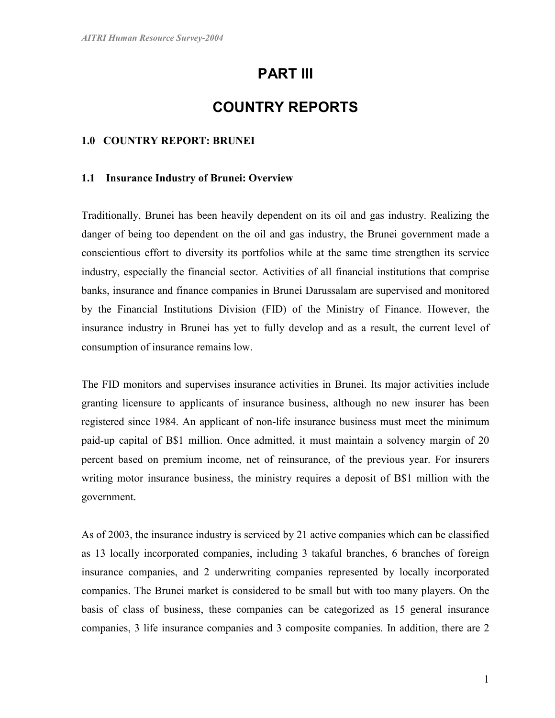# PART III

# COUNTRY REPORTS

#### 1.0 COUNTRY REPORT: BRUNEI

#### 1.1 Insurance Industry of Brunei: Overview

Traditionally, Brunei has been heavily dependent on its oil and gas industry. Realizing the danger of being too dependent on the oil and gas industry, the Brunei government made a conscientious effort to diversity its portfolios while at the same time strengthen its service industry, especially the financial sector. Activities of all financial institutions that comprise banks, insurance and finance companies in Brunei Darussalam are supervised and monitored by the Financial Institutions Division (FID) of the Ministry of Finance. However, the insurance industry in Brunei has yet to fully develop and as a result, the current level of consumption of insurance remains low.

The FID monitors and supervises insurance activities in Brunei. Its major activities include granting licensure to applicants of insurance business, although no new insurer has been registered since 1984. An applicant of non-life insurance business must meet the minimum paid-up capital of B\$1 million. Once admitted, it must maintain a solvency margin of 20 percent based on premium income, net of reinsurance, of the previous year. For insurers writing motor insurance business, the ministry requires a deposit of B\$1 million with the government.

As of 2003, the insurance industry is serviced by 21 active companies which can be classified as 13 locally incorporated companies, including 3 takaful branches, 6 branches of foreign insurance companies, and 2 underwriting companies represented by locally incorporated companies. The Brunei market is considered to be small but with too many players. On the basis of class of business, these companies can be categorized as 15 general insurance companies, 3 life insurance companies and 3 composite companies. In addition, there are 2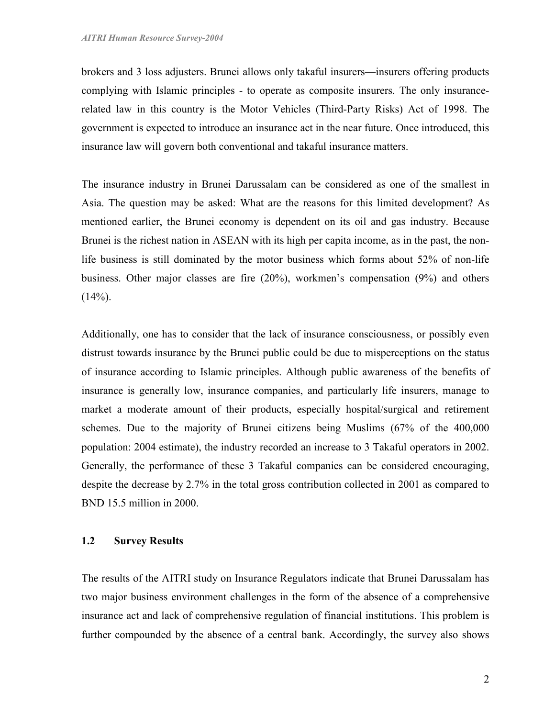brokers and 3 loss adjusters. Brunei allows only takaful insurers—insurers offering products complying with Islamic principles - to operate as composite insurers. The only insurancerelated law in this country is the Motor Vehicles (Third-Party Risks) Act of 1998. The government is expected to introduce an insurance act in the near future. Once introduced, this insurance law will govern both conventional and takaful insurance matters.

The insurance industry in Brunei Darussalam can be considered as one of the smallest in Asia. The question may be asked: What are the reasons for this limited development? As mentioned earlier, the Brunei economy is dependent on its oil and gas industry. Because Brunei is the richest nation in ASEAN with its high per capita income, as in the past, the nonlife business is still dominated by the motor business which forms about 52% of non-life business. Other major classes are fire (20%), workmen's compensation (9%) and others  $(14\%)$ .

Additionally, one has to consider that the lack of insurance consciousness, or possibly even distrust towards insurance by the Brunei public could be due to misperceptions on the status of insurance according to Islamic principles. Although public awareness of the benefits of insurance is generally low, insurance companies, and particularly life insurers, manage to market a moderate amount of their products, especially hospital/surgical and retirement schemes. Due to the majority of Brunei citizens being Muslims (67% of the 400,000 population: 2004 estimate), the industry recorded an increase to 3 Takaful operators in 2002. Generally, the performance of these 3 Takaful companies can be considered encouraging, despite the decrease by 2.7% in the total gross contribution collected in 2001 as compared to BND 15.5 million in 2000.

## 1.2 Survey Results

The results of the AITRI study on Insurance Regulators indicate that Brunei Darussalam has two major business environment challenges in the form of the absence of a comprehensive insurance act and lack of comprehensive regulation of financial institutions. This problem is further compounded by the absence of a central bank. Accordingly, the survey also shows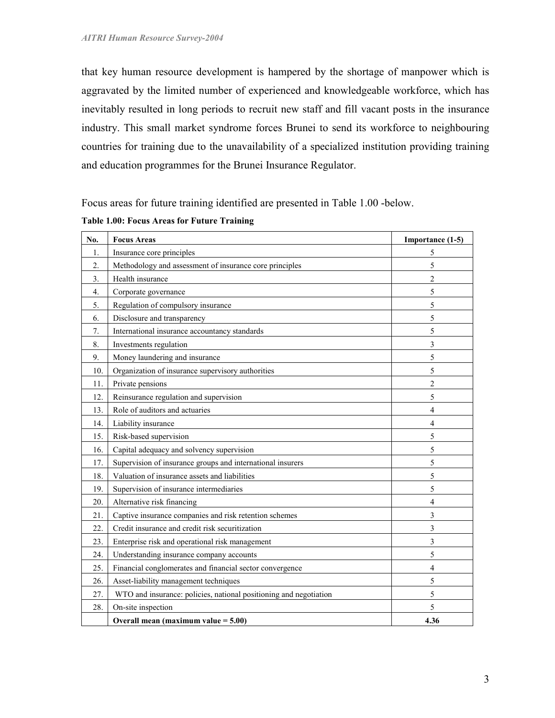that key human resource development is hampered by the shortage of manpower which is aggravated by the limited number of experienced and knowledgeable workforce, which has inevitably resulted in long periods to recruit new staff and fill vacant posts in the insurance industry. This small market syndrome forces Brunei to send its workforce to neighbouring countries for training due to the unavailability of a specialized institution providing training and education programmes for the Brunei Insurance Regulator.

Focus areas for future training identified are presented in Table 1.00 -below.

| No.             | <b>Focus Areas</b>                                                | Importance (1-5)        |
|-----------------|-------------------------------------------------------------------|-------------------------|
| 1.              | Insurance core principles                                         | 5                       |
| 2.              | Methodology and assessment of insurance core principles           | 5                       |
| 3 <sub>1</sub>  | Health insurance                                                  | $\overline{c}$          |
| 4.              | Corporate governance                                              | 5                       |
| 5.              | Regulation of compulsory insurance                                | 5                       |
| 6.              | Disclosure and transparency                                       | 5                       |
| 7.              | International insurance accountancy standards                     | 5                       |
| 8.              | Investments regulation                                            | 3                       |
| 9.              | Money laundering and insurance                                    | 5                       |
| 10 <sub>1</sub> | Organization of insurance supervisory authorities                 | 5                       |
| 11.             | Private pensions                                                  | $\overline{c}$          |
| 12.             | Reinsurance regulation and supervision                            | 5                       |
| 13.             | Role of auditors and actuaries                                    | 4                       |
| 14.             | Liability insurance                                               | $\overline{4}$          |
| 15.             | Risk-based supervision                                            | 5                       |
| 16.             | Capital adequacy and solvency supervision                         | 5                       |
| 17.             | Supervision of insurance groups and international insurers        | 5                       |
| 18.             | Valuation of insurance assets and liabilities                     | 5                       |
| 19.             | Supervision of insurance intermediaries                           | 5                       |
| 20.             | Alternative risk financing                                        | $\overline{4}$          |
| 21.             | Captive insurance companies and risk retention schemes            | 3                       |
| 22.             | Credit insurance and credit risk securitization                   | $\overline{\mathbf{3}}$ |
| 23.             | Enterprise risk and operational risk management                   | 3                       |
| 24.             | Understanding insurance company accounts                          | 5                       |
| 25.             | Financial conglomerates and financial sector convergence          | 4                       |
| 26.             | Asset-liability management techniques                             | 5                       |
| 27.             | WTO and insurance: policies, national positioning and negotiation | 5                       |
| 28.             | On-site inspection                                                | 5                       |
|                 | Overall mean (maximum value $= 5.00$ )                            | 4.36                    |

Table 1.00: Focus Areas for Future Training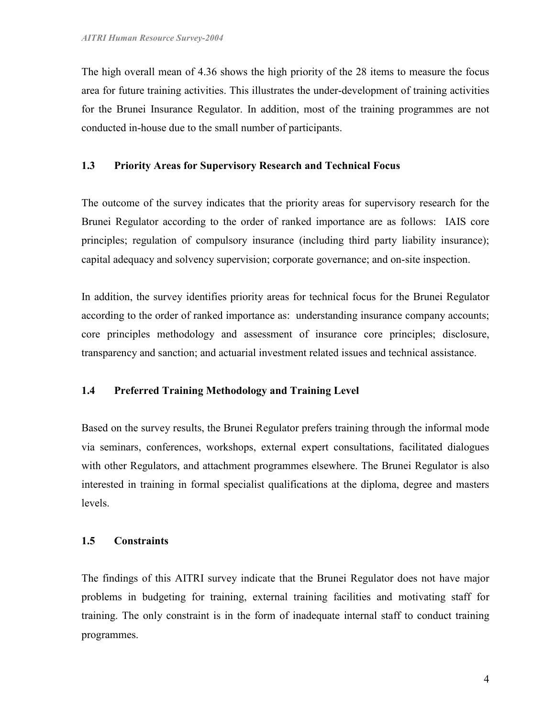The high overall mean of 4.36 shows the high priority of the 28 items to measure the focus area for future training activities. This illustrates the under-development of training activities for the Brunei Insurance Regulator. In addition, most of the training programmes are not conducted in-house due to the small number of participants.

## 1.3 Priority Areas for Supervisory Research and Technical Focus

The outcome of the survey indicates that the priority areas for supervisory research for the Brunei Regulator according to the order of ranked importance are as follows: IAIS core principles; regulation of compulsory insurance (including third party liability insurance); capital adequacy and solvency supervision; corporate governance; and on-site inspection.

In addition, the survey identifies priority areas for technical focus for the Brunei Regulator according to the order of ranked importance as: understanding insurance company accounts; core principles methodology and assessment of insurance core principles; disclosure, transparency and sanction; and actuarial investment related issues and technical assistance.

## 1.4 Preferred Training Methodology and Training Level

Based on the survey results, the Brunei Regulator prefers training through the informal mode via seminars, conferences, workshops, external expert consultations, facilitated dialogues with other Regulators, and attachment programmes elsewhere. The Brunei Regulator is also interested in training in formal specialist qualifications at the diploma, degree and masters levels.

#### 1.5 Constraints

The findings of this AITRI survey indicate that the Brunei Regulator does not have major problems in budgeting for training, external training facilities and motivating staff for training. The only constraint is in the form of inadequate internal staff to conduct training programmes.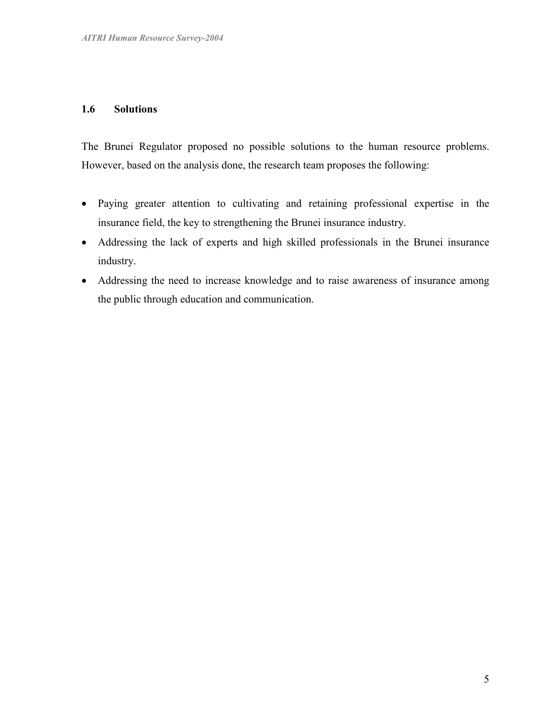## 1.6 Solutions

The Brunei Regulator proposed no possible solutions to the human resource problems. However, based on the analysis done, the research team proposes the following:

- Paying greater attention to cultivating and retaining professional expertise in the insurance field, the key to strengthening the Brunei insurance industry.
- Addressing the lack of experts and high skilled professionals in the Brunei insurance industry.
- Addressing the need to increase knowledge and to raise awareness of insurance among the public through education and communication.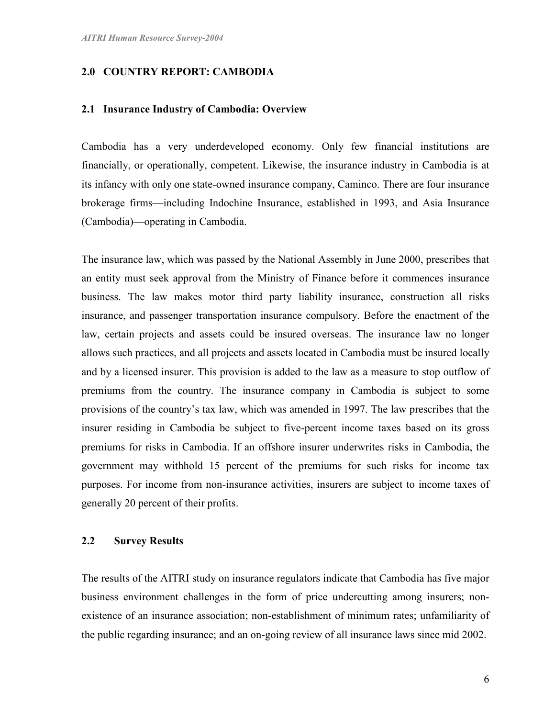## 2.0 COUNTRY REPORT: CAMBODIA

#### 2.1 Insurance Industry of Cambodia: Overview

Cambodia has a very underdeveloped economy. Only few financial institutions are financially, or operationally, competent. Likewise, the insurance industry in Cambodia is at its infancy with only one state-owned insurance company, Caminco. There are four insurance brokerage firms—including Indochine Insurance, established in 1993, and Asia Insurance (Cambodia)—operating in Cambodia.

The insurance law, which was passed by the National Assembly in June 2000, prescribes that an entity must seek approval from the Ministry of Finance before it commences insurance business. The law makes motor third party liability insurance, construction all risks insurance, and passenger transportation insurance compulsory. Before the enactment of the law, certain projects and assets could be insured overseas. The insurance law no longer allows such practices, and all projects and assets located in Cambodia must be insured locally and by a licensed insurer. This provision is added to the law as a measure to stop outflow of premiums from the country. The insurance company in Cambodia is subject to some provisions of the country's tax law, which was amended in 1997. The law prescribes that the insurer residing in Cambodia be subject to five-percent income taxes based on its gross premiums for risks in Cambodia. If an offshore insurer underwrites risks in Cambodia, the government may withhold 15 percent of the premiums for such risks for income tax purposes. For income from non-insurance activities, insurers are subject to income taxes of generally 20 percent of their profits.

## 2.2 Survey Results

The results of the AITRI study on insurance regulators indicate that Cambodia has five major business environment challenges in the form of price undercutting among insurers; nonexistence of an insurance association; non-establishment of minimum rates; unfamiliarity of the public regarding insurance; and an on-going review of all insurance laws since mid 2002.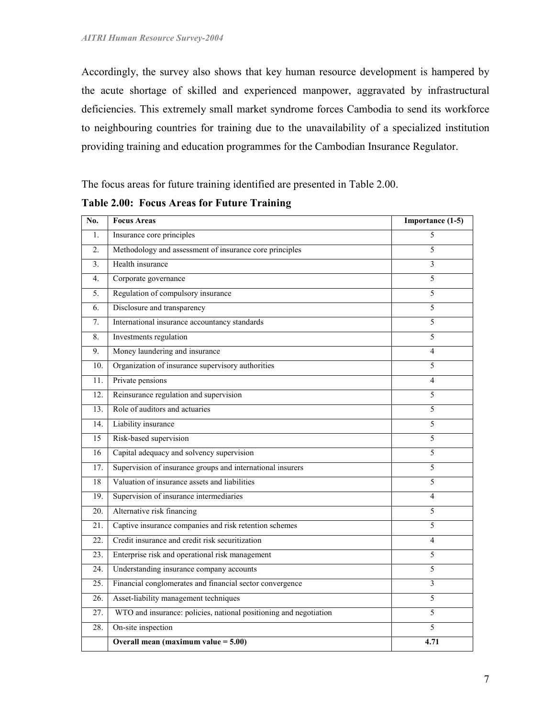Accordingly, the survey also shows that key human resource development is hampered by the acute shortage of skilled and experienced manpower, aggravated by infrastructural deficiencies. This extremely small market syndrome forces Cambodia to send its workforce to neighbouring countries for training due to the unavailability of a specialized institution providing training and education programmes for the Cambodian Insurance Regulator.

The focus areas for future training identified are presented in Table 2.00.

| No.               | <b>Focus Areas</b>                                                | Importance (1-5) |
|-------------------|-------------------------------------------------------------------|------------------|
| 1.                | Insurance core principles                                         | 5                |
| 2.                | Methodology and assessment of insurance core principles           | 5                |
| 3 <sub>1</sub>    | Health insurance                                                  | 3                |
| 4.                | Corporate governance                                              | 5                |
| 5.                | Regulation of compulsory insurance                                | 5                |
| 6.                | Disclosure and transparency                                       | 5                |
| 7.                | International insurance accountancy standards                     | 5                |
| 8.                | Investments regulation                                            | 5                |
| 9.                | Money laundering and insurance                                    | $\overline{4}$   |
| 10.               | Organization of insurance supervisory authorities                 | 5                |
| 11.               | Private pensions                                                  | 4                |
| 12.               | Reinsurance regulation and supervision                            | 5                |
| 13.               | Role of auditors and actuaries                                    | 5                |
| 14.               | Liability insurance                                               | 5                |
| 15                | Risk-based supervision                                            | 5                |
| 16                | Capital adequacy and solvency supervision                         | 5                |
| 17.               | Supervision of insurance groups and international insurers        | 5                |
| 18                | Valuation of insurance assets and liabilities                     | 5                |
| 19.               | Supervision of insurance intermediaries                           | 4                |
| $\overline{20}$ . | Alternative risk financing                                        | 5                |
| 21.               | Captive insurance companies and risk retention schemes            | 5                |
| 22.               | Credit insurance and credit risk securitization                   | 4                |
| $\overline{23}$ . | Enterprise risk and operational risk management                   | 5                |
| 24.               | Understanding insurance company accounts                          | 5                |
| 25.               | Financial conglomerates and financial sector convergence          | 3                |
| 26.               | Asset-liability management techniques                             | 5                |
| 27.               | WTO and insurance: policies, national positioning and negotiation | 5                |
| 28.               | On-site inspection                                                | 5                |
|                   | Overall mean (maximum value $= 5.00$ )                            | 4.71             |

#### Table 2.00: Focus Areas for Future Training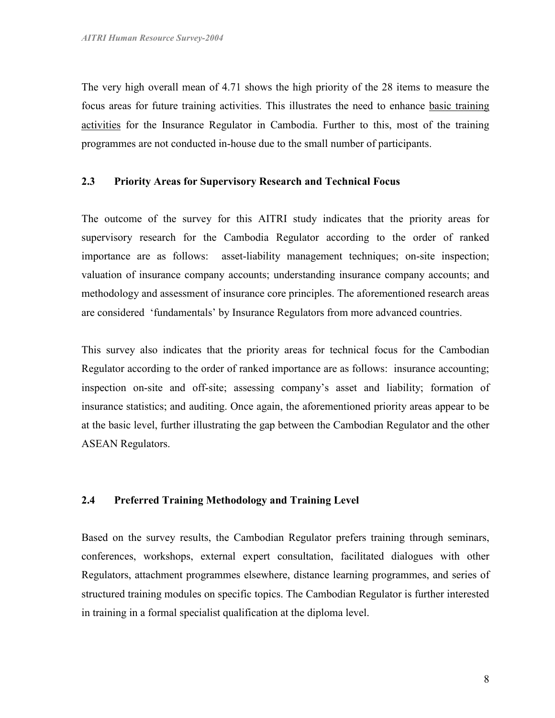The very high overall mean of 4.71 shows the high priority of the 28 items to measure the focus areas for future training activities. This illustrates the need to enhance basic training activities for the Insurance Regulator in Cambodia. Further to this, most of the training programmes are not conducted in-house due to the small number of participants.

## 2.3 Priority Areas for Supervisory Research and Technical Focus

The outcome of the survey for this AITRI study indicates that the priority areas for supervisory research for the Cambodia Regulator according to the order of ranked importance are as follows: asset-liability management techniques; on-site inspection; valuation of insurance company accounts; understanding insurance company accounts; and methodology and assessment of insurance core principles. The aforementioned research areas are considered 'fundamentals' by Insurance Regulators from more advanced countries.

This survey also indicates that the priority areas for technical focus for the Cambodian Regulator according to the order of ranked importance are as follows: insurance accounting; inspection on-site and off-site; assessing company's asset and liability; formation of insurance statistics; and auditing. Once again, the aforementioned priority areas appear to be at the basic level, further illustrating the gap between the Cambodian Regulator and the other ASEAN Regulators.

### 2.4 Preferred Training Methodology and Training Level

Based on the survey results, the Cambodian Regulator prefers training through seminars, conferences, workshops, external expert consultation, facilitated dialogues with other Regulators, attachment programmes elsewhere, distance learning programmes, and series of structured training modules on specific topics. The Cambodian Regulator is further interested in training in a formal specialist qualification at the diploma level.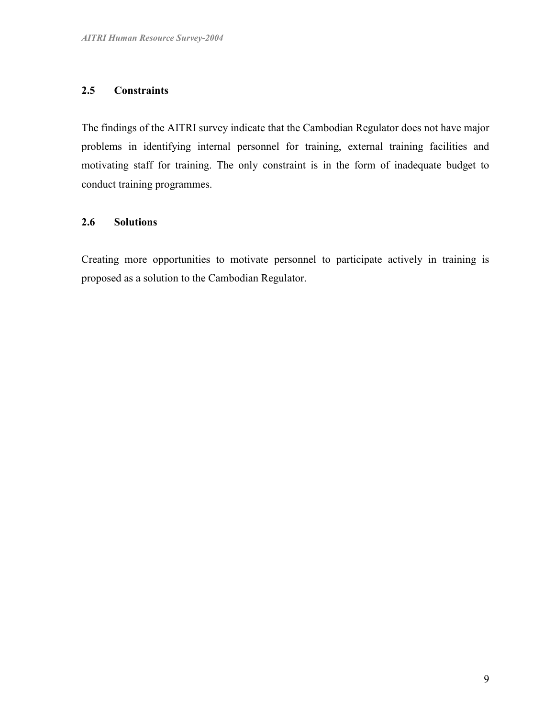## 2.5 Constraints

The findings of the AITRI survey indicate that the Cambodian Regulator does not have major problems in identifying internal personnel for training, external training facilities and motivating staff for training. The only constraint is in the form of inadequate budget to conduct training programmes.

## 2.6 Solutions

Creating more opportunities to motivate personnel to participate actively in training is proposed as a solution to the Cambodian Regulator.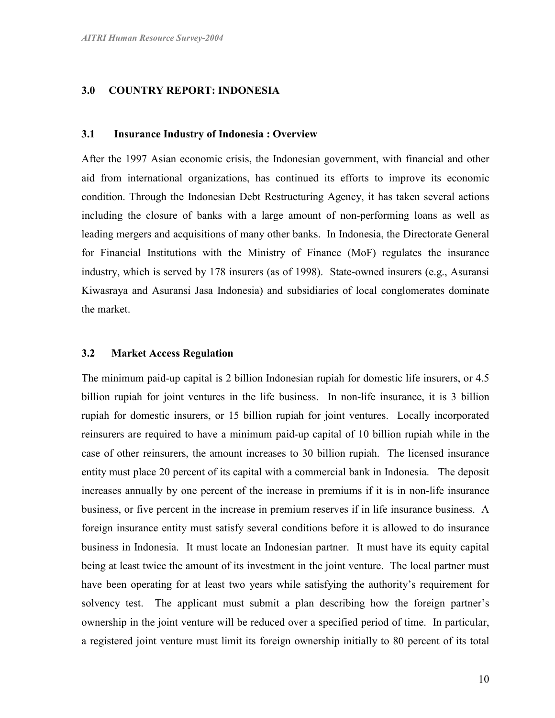## 3.0 COUNTRY REPORT: INDONESIA

#### 3.1 Insurance Industry of Indonesia : Overview

After the 1997 Asian economic crisis, the Indonesian government, with financial and other aid from international organizations, has continued its efforts to improve its economic condition. Through the Indonesian Debt Restructuring Agency, it has taken several actions including the closure of banks with a large amount of non-performing loans as well as leading mergers and acquisitions of many other banks. In Indonesia, the Directorate General for Financial Institutions with the Ministry of Finance (MoF) regulates the insurance industry, which is served by 178 insurers (as of 1998). State-owned insurers (e.g., Asuransi Kiwasraya and Asuransi Jasa Indonesia) and subsidiaries of local conglomerates dominate the market.

#### 3.2 Market Access Regulation

The minimum paid-up capital is 2 billion Indonesian rupiah for domestic life insurers, or 4.5 billion rupiah for joint ventures in the life business. In non-life insurance, it is 3 billion rupiah for domestic insurers, or 15 billion rupiah for joint ventures. Locally incorporated reinsurers are required to have a minimum paid-up capital of 10 billion rupiah while in the case of other reinsurers, the amount increases to 30 billion rupiah. The licensed insurance entity must place 20 percent of its capital with a commercial bank in Indonesia. The deposit increases annually by one percent of the increase in premiums if it is in non-life insurance business, or five percent in the increase in premium reserves if in life insurance business. A foreign insurance entity must satisfy several conditions before it is allowed to do insurance business in Indonesia. It must locate an Indonesian partner. It must have its equity capital being at least twice the amount of its investment in the joint venture. The local partner must have been operating for at least two years while satisfying the authority's requirement for solvency test. The applicant must submit a plan describing how the foreign partner's ownership in the joint venture will be reduced over a specified period of time. In particular, a registered joint venture must limit its foreign ownership initially to 80 percent of its total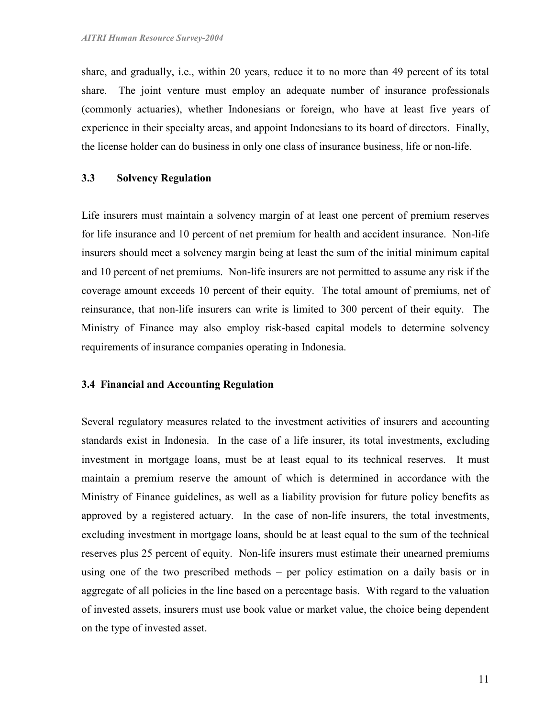share, and gradually, i.e., within 20 years, reduce it to no more than 49 percent of its total share. The joint venture must employ an adequate number of insurance professionals (commonly actuaries), whether Indonesians or foreign, who have at least five years of experience in their specialty areas, and appoint Indonesians to its board of directors. Finally, the license holder can do business in only one class of insurance business, life or non-life.

#### 3.3 Solvency Regulation

Life insurers must maintain a solvency margin of at least one percent of premium reserves for life insurance and 10 percent of net premium for health and accident insurance. Non-life insurers should meet a solvency margin being at least the sum of the initial minimum capital and 10 percent of net premiums. Non-life insurers are not permitted to assume any risk if the coverage amount exceeds 10 percent of their equity. The total amount of premiums, net of reinsurance, that non-life insurers can write is limited to 300 percent of their equity. The Ministry of Finance may also employ risk-based capital models to determine solvency requirements of insurance companies operating in Indonesia.

#### 3.4 Financial and Accounting Regulation

Several regulatory measures related to the investment activities of insurers and accounting standards exist in Indonesia. In the case of a life insurer, its total investments, excluding investment in mortgage loans, must be at least equal to its technical reserves. It must maintain a premium reserve the amount of which is determined in accordance with the Ministry of Finance guidelines, as well as a liability provision for future policy benefits as approved by a registered actuary. In the case of non-life insurers, the total investments, excluding investment in mortgage loans, should be at least equal to the sum of the technical reserves plus 25 percent of equity. Non-life insurers must estimate their unearned premiums using one of the two prescribed methods – per policy estimation on a daily basis or in aggregate of all policies in the line based on a percentage basis. With regard to the valuation of invested assets, insurers must use book value or market value, the choice being dependent on the type of invested asset.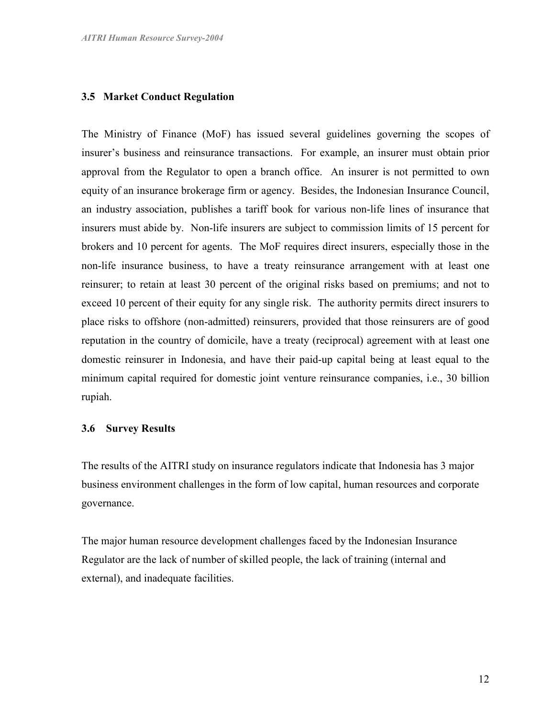#### 3.5 Market Conduct Regulation

The Ministry of Finance (MoF) has issued several guidelines governing the scopes of insurer's business and reinsurance transactions. For example, an insurer must obtain prior approval from the Regulator to open a branch office. An insurer is not permitted to own equity of an insurance brokerage firm or agency. Besides, the Indonesian Insurance Council, an industry association, publishes a tariff book for various non-life lines of insurance that insurers must abide by. Non-life insurers are subject to commission limits of 15 percent for brokers and 10 percent for agents. The MoF requires direct insurers, especially those in the non-life insurance business, to have a treaty reinsurance arrangement with at least one reinsurer; to retain at least 30 percent of the original risks based on premiums; and not to exceed 10 percent of their equity for any single risk. The authority permits direct insurers to place risks to offshore (non-admitted) reinsurers, provided that those reinsurers are of good reputation in the country of domicile, have a treaty (reciprocal) agreement with at least one domestic reinsurer in Indonesia, and have their paid-up capital being at least equal to the minimum capital required for domestic joint venture reinsurance companies, i.e., 30 billion rupiah.

#### 3.6 Survey Results

The results of the AITRI study on insurance regulators indicate that Indonesia has 3 major business environment challenges in the form of low capital, human resources and corporate governance.

The major human resource development challenges faced by the Indonesian Insurance Regulator are the lack of number of skilled people, the lack of training (internal and external), and inadequate facilities.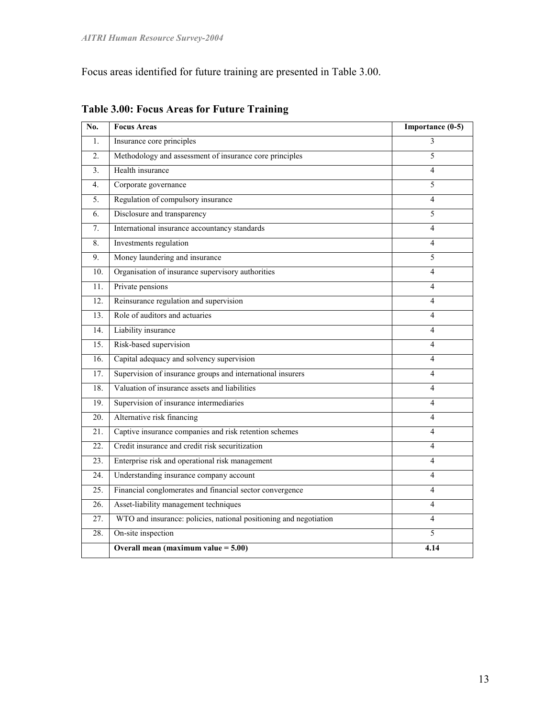Focus areas identified for future training are presented in Table 3.00.

| No.              | <b>Focus Areas</b>                                                | Importance (0-5) |
|------------------|-------------------------------------------------------------------|------------------|
| $\mathbf{1}$ .   | Insurance core principles                                         | 3                |
| $\overline{2}$ . | Methodology and assessment of insurance core principles           | 5                |
| 3 <sub>1</sub>   | Health insurance                                                  | $\overline{4}$   |
| $4_{\cdot}$      | Corporate governance                                              | 5                |
| 5.               | Regulation of compulsory insurance                                | 4                |
| 6.               | Disclosure and transparency                                       | 5                |
| 7.               | International insurance accountancy standards                     | $\overline{4}$   |
| 8.               | Investments regulation                                            | 4                |
| 9.               | Money laundering and insurance                                    | 5                |
| 10.              | Organisation of insurance supervisory authorities                 | 4                |
| 11.              | Private pensions                                                  | $\overline{4}$   |
| 12.              | Reinsurance regulation and supervision                            | $\overline{4}$   |
| 13.              | Role of auditors and actuaries                                    | 4                |
| 14.              | Liability insurance                                               | $\overline{4}$   |
| 15.              | Risk-based supervision                                            | $\overline{4}$   |
| 16.              | Capital adequacy and solvency supervision                         | $\overline{4}$   |
| 17.              | Supervision of insurance groups and international insurers        | 4                |
| 18.              | Valuation of insurance assets and liabilities                     | $\overline{4}$   |
| 19.              | Supervision of insurance intermediaries                           | $\overline{4}$   |
| 20.              | Alternative risk financing                                        | 4                |
| 21.              | Captive insurance companies and risk retention schemes            | 4                |
| 22.              | Credit insurance and credit risk securitization                   | 4                |
| 23.              | Enterprise risk and operational risk management                   | 4                |
| 24.              | Understanding insurance company account                           | $\overline{4}$   |
| 25.              | Financial conglomerates and financial sector convergence          | 4                |
| 26.              | Asset-liability management techniques                             | 4                |
| 27.              | WTO and insurance: policies, national positioning and negotiation | 4                |
| 28.              | On-site inspection                                                | 5                |
|                  | Overall mean (maximum value $= 5.00$ )                            | 4.14             |

## Table 3.00: Focus Areas for Future Training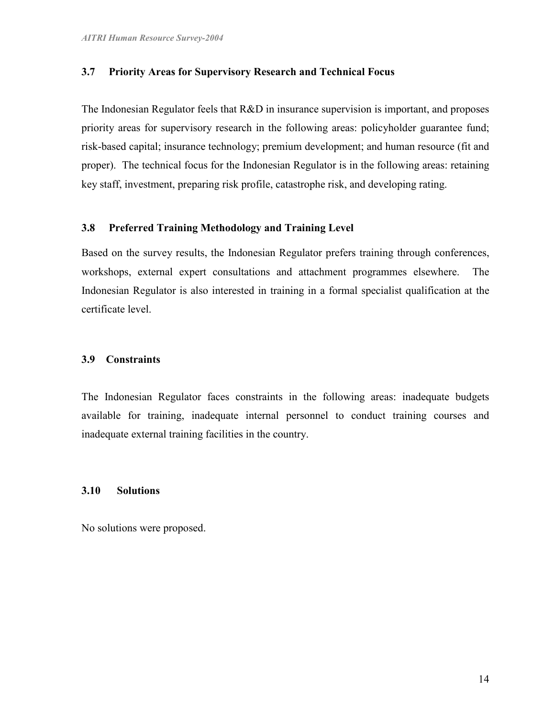## 3.7 Priority Areas for Supervisory Research and Technical Focus

The Indonesian Regulator feels that R&D in insurance supervision is important, and proposes priority areas for supervisory research in the following areas: policyholder guarantee fund; risk-based capital; insurance technology; premium development; and human resource (fit and proper). The technical focus for the Indonesian Regulator is in the following areas: retaining key staff, investment, preparing risk profile, catastrophe risk, and developing rating.

#### 3.8 Preferred Training Methodology and Training Level

Based on the survey results, the Indonesian Regulator prefers training through conferences, workshops, external expert consultations and attachment programmes elsewhere. The Indonesian Regulator is also interested in training in a formal specialist qualification at the certificate level.

## 3.9 Constraints

The Indonesian Regulator faces constraints in the following areas: inadequate budgets available for training, inadequate internal personnel to conduct training courses and inadequate external training facilities in the country.

## 3.10 Solutions

No solutions were proposed.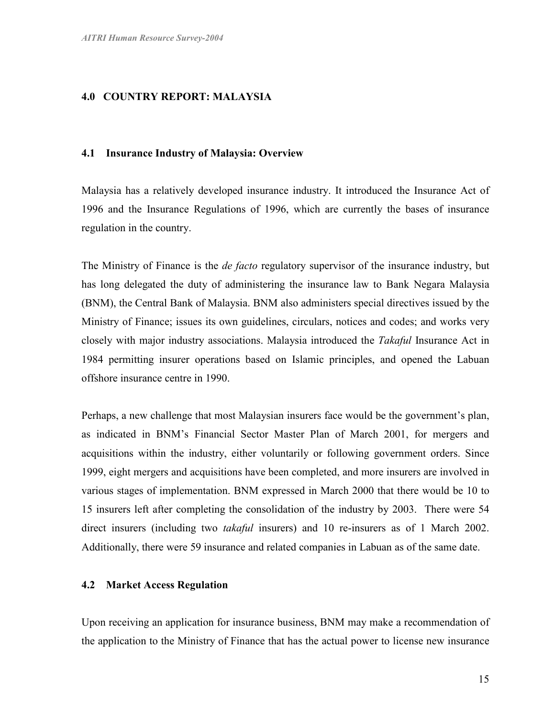## 4.0 COUNTRY REPORT: MALAYSIA

#### 4.1 Insurance Industry of Malaysia: Overview

Malaysia has a relatively developed insurance industry. It introduced the Insurance Act of 1996 and the Insurance Regulations of 1996, which are currently the bases of insurance regulation in the country.

The Ministry of Finance is the *de facto* regulatory supervisor of the insurance industry, but has long delegated the duty of administering the insurance law to Bank Negara Malaysia (BNM), the Central Bank of Malaysia. BNM also administers special directives issued by the Ministry of Finance; issues its own guidelines, circulars, notices and codes; and works very closely with major industry associations. Malaysia introduced the Takaful Insurance Act in 1984 permitting insurer operations based on Islamic principles, and opened the Labuan offshore insurance centre in 1990.

Perhaps, a new challenge that most Malaysian insurers face would be the government's plan, as indicated in BNM's Financial Sector Master Plan of March 2001, for mergers and acquisitions within the industry, either voluntarily or following government orders. Since 1999, eight mergers and acquisitions have been completed, and more insurers are involved in various stages of implementation. BNM expressed in March 2000 that there would be 10 to 15 insurers left after completing the consolidation of the industry by 2003. There were 54 direct insurers (including two *takaful* insurers) and 10 re-insurers as of 1 March 2002. Additionally, there were 59 insurance and related companies in Labuan as of the same date.

#### 4.2 Market Access Regulation

Upon receiving an application for insurance business, BNM may make a recommendation of the application to the Ministry of Finance that has the actual power to license new insurance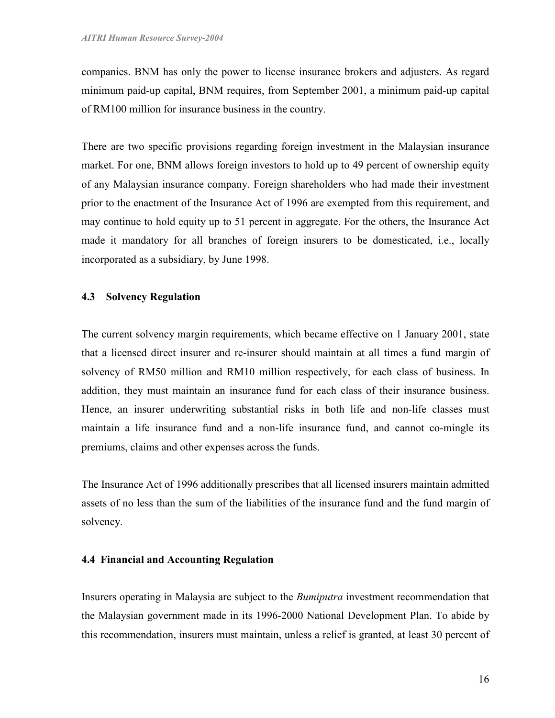companies. BNM has only the power to license insurance brokers and adjusters. As regard minimum paid-up capital, BNM requires, from September 2001, a minimum paid-up capital of RM100 million for insurance business in the country.

There are two specific provisions regarding foreign investment in the Malaysian insurance market. For one, BNM allows foreign investors to hold up to 49 percent of ownership equity of any Malaysian insurance company. Foreign shareholders who had made their investment prior to the enactment of the Insurance Act of 1996 are exempted from this requirement, and may continue to hold equity up to 51 percent in aggregate. For the others, the Insurance Act made it mandatory for all branches of foreign insurers to be domesticated, i.e., locally incorporated as a subsidiary, by June 1998.

#### 4.3 Solvency Regulation

The current solvency margin requirements, which became effective on 1 January 2001, state that a licensed direct insurer and re-insurer should maintain at all times a fund margin of solvency of RM50 million and RM10 million respectively, for each class of business. In addition, they must maintain an insurance fund for each class of their insurance business. Hence, an insurer underwriting substantial risks in both life and non-life classes must maintain a life insurance fund and a non-life insurance fund, and cannot co-mingle its premiums, claims and other expenses across the funds.

The Insurance Act of 1996 additionally prescribes that all licensed insurers maintain admitted assets of no less than the sum of the liabilities of the insurance fund and the fund margin of solvency.

#### 4.4 Financial and Accounting Regulation

Insurers operating in Malaysia are subject to the Bumiputra investment recommendation that the Malaysian government made in its 1996-2000 National Development Plan. To abide by this recommendation, insurers must maintain, unless a relief is granted, at least 30 percent of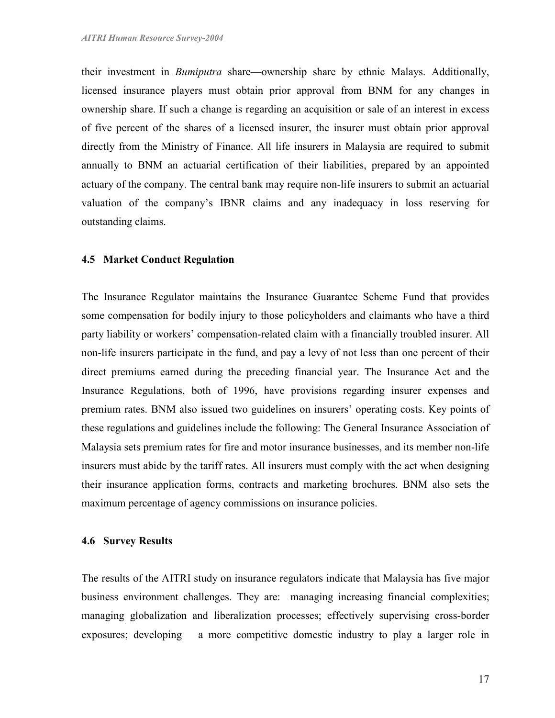their investment in Bumiputra share—ownership share by ethnic Malays. Additionally, licensed insurance players must obtain prior approval from BNM for any changes in ownership share. If such a change is regarding an acquisition or sale of an interest in excess of five percent of the shares of a licensed insurer, the insurer must obtain prior approval directly from the Ministry of Finance. All life insurers in Malaysia are required to submit annually to BNM an actuarial certification of their liabilities, prepared by an appointed actuary of the company. The central bank may require non-life insurers to submit an actuarial valuation of the company's IBNR claims and any inadequacy in loss reserving for outstanding claims.

### 4.5 Market Conduct Regulation

The Insurance Regulator maintains the Insurance Guarantee Scheme Fund that provides some compensation for bodily injury to those policyholders and claimants who have a third party liability or workers' compensation-related claim with a financially troubled insurer. All non-life insurers participate in the fund, and pay a levy of not less than one percent of their direct premiums earned during the preceding financial year. The Insurance Act and the Insurance Regulations, both of 1996, have provisions regarding insurer expenses and premium rates. BNM also issued two guidelines on insurers' operating costs. Key points of these regulations and guidelines include the following: The General Insurance Association of Malaysia sets premium rates for fire and motor insurance businesses, and its member non-life insurers must abide by the tariff rates. All insurers must comply with the act when designing their insurance application forms, contracts and marketing brochures. BNM also sets the maximum percentage of agency commissions on insurance policies.

#### 4.6 Survey Results

The results of the AITRI study on insurance regulators indicate that Malaysia has five major business environment challenges. They are: managing increasing financial complexities; managing globalization and liberalization processes; effectively supervising cross-border exposures; developing a more competitive domestic industry to play a larger role in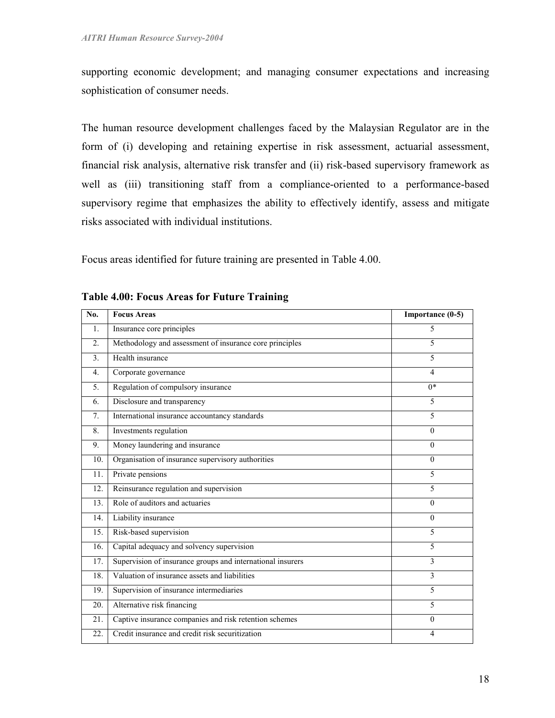supporting economic development; and managing consumer expectations and increasing sophistication of consumer needs.

The human resource development challenges faced by the Malaysian Regulator are in the form of (i) developing and retaining expertise in risk assessment, actuarial assessment, financial risk analysis, alternative risk transfer and (ii) risk-based supervisory framework as well as (iii) transitioning staff from a compliance-oriented to a performance-based supervisory regime that emphasizes the ability to effectively identify, assess and mitigate risks associated with individual institutions.

Focus areas identified for future training are presented in Table 4.00.

| No.              | <b>Focus Areas</b>                                         | Importance (0-5) |
|------------------|------------------------------------------------------------|------------------|
| 1.               | Insurance core principles                                  | 5                |
| $\overline{2}$ . | Methodology and assessment of insurance core principles    | 5                |
| 3.               | Health insurance                                           | 5                |
| $\overline{4}$ . | Corporate governance                                       | $\overline{4}$   |
| 5.               | Regulation of compulsory insurance                         | $0*$             |
| 6.               | Disclosure and transparency                                | 5                |
| 7.               | International insurance accountancy standards              | 5                |
| 8.               | Investments regulation                                     | $\Omega$         |
| 9.               | Money laundering and insurance                             | $\theta$         |
| 10.              | Organisation of insurance supervisory authorities          | $\Omega$         |
| 11.              | Private pensions                                           | 5                |
| 12.              | Reinsurance regulation and supervision                     | 5                |
| 13.              | Role of auditors and actuaries                             | $\Omega$         |
| 14.              | Liability insurance                                        | $\Omega$         |
| 15.              | Risk-based supervision                                     | 5                |
| 16.              | Capital adequacy and solvency supervision                  | 5                |
| 17.              | Supervision of insurance groups and international insurers | 3                |
| 18.              | Valuation of insurance assets and liabilities              | 3                |
| 19.              | Supervision of insurance intermediaries                    | 5                |
| 20.              | Alternative risk financing                                 | 5                |
| 21.              | Captive insurance companies and risk retention schemes     | $\theta$         |
| 22.              | Credit insurance and credit risk securitization            | 4                |

Table 4.00: Focus Areas for Future Training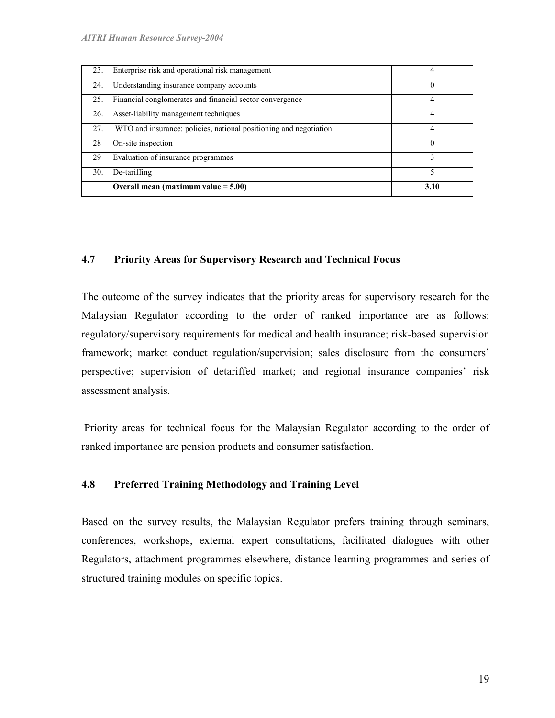| 23. | Enterprise risk and operational risk management                   |      |
|-----|-------------------------------------------------------------------|------|
| 24. | Understanding insurance company accounts                          | 0    |
| 25. | Financial conglomerates and financial sector convergence          |      |
| 26. | Asset-liability management techniques                             |      |
| 27. | WTO and insurance: policies, national positioning and negotiation |      |
| 28  | On-site inspection                                                |      |
| 29  | Evaluation of insurance programmes                                |      |
| 30. | De-tariffing                                                      |      |
|     | Overall mean (maximum value $= 5.00$ )                            | 3.10 |

#### 4.7 Priority Areas for Supervisory Research and Technical Focus

The outcome of the survey indicates that the priority areas for supervisory research for the Malaysian Regulator according to the order of ranked importance are as follows: regulatory/supervisory requirements for medical and health insurance; risk-based supervision framework; market conduct regulation/supervision; sales disclosure from the consumers' perspective; supervision of detariffed market; and regional insurance companies' risk assessment analysis.

 Priority areas for technical focus for the Malaysian Regulator according to the order of ranked importance are pension products and consumer satisfaction.

## 4.8 Preferred Training Methodology and Training Level

Based on the survey results, the Malaysian Regulator prefers training through seminars, conferences, workshops, external expert consultations, facilitated dialogues with other Regulators, attachment programmes elsewhere, distance learning programmes and series of structured training modules on specific topics.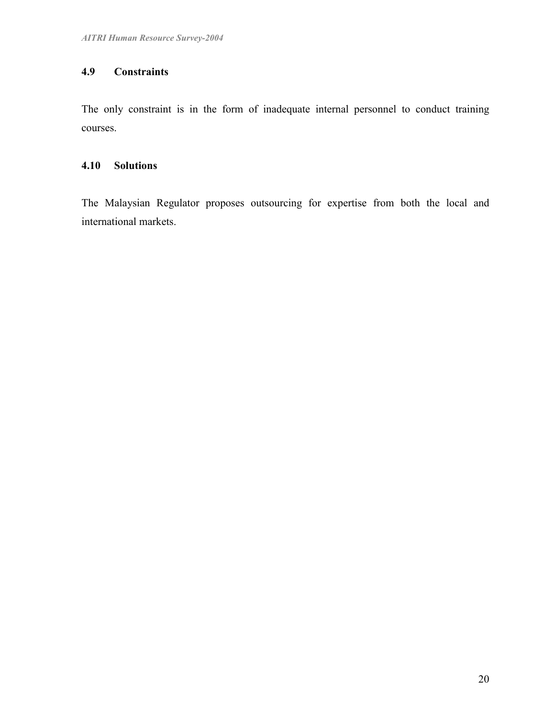## 4.9 Constraints

The only constraint is in the form of inadequate internal personnel to conduct training courses.

## 4.10 Solutions

The Malaysian Regulator proposes outsourcing for expertise from both the local and international markets.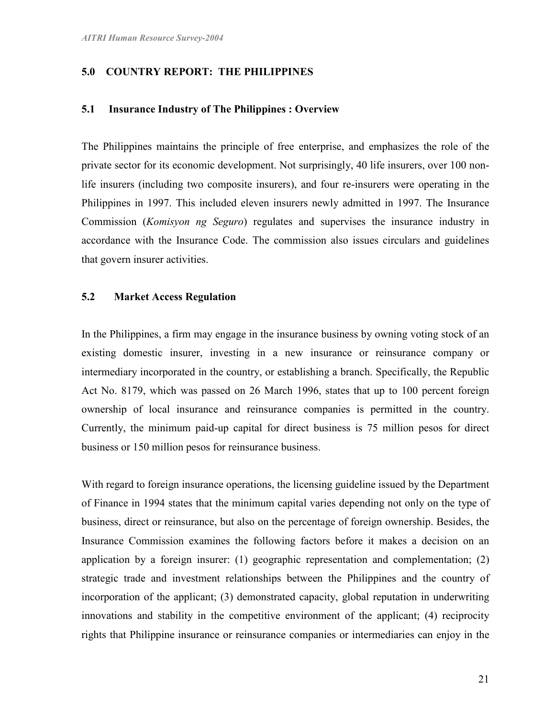## 5.0 COUNTRY REPORT: THE PHILIPPINES

#### 5.1 Insurance Industry of The Philippines : Overview

The Philippines maintains the principle of free enterprise, and emphasizes the role of the private sector for its economic development. Not surprisingly, 40 life insurers, over 100 nonlife insurers (including two composite insurers), and four re-insurers were operating in the Philippines in 1997. This included eleven insurers newly admitted in 1997. The Insurance Commission (Komisyon ng Seguro) regulates and supervises the insurance industry in accordance with the Insurance Code. The commission also issues circulars and guidelines that govern insurer activities.

## 5.2 Market Access Regulation

In the Philippines, a firm may engage in the insurance business by owning voting stock of an existing domestic insurer, investing in a new insurance or reinsurance company or intermediary incorporated in the country, or establishing a branch. Specifically, the Republic Act No. 8179, which was passed on 26 March 1996, states that up to 100 percent foreign ownership of local insurance and reinsurance companies is permitted in the country. Currently, the minimum paid-up capital for direct business is 75 million pesos for direct business or 150 million pesos for reinsurance business.

With regard to foreign insurance operations, the licensing guideline issued by the Department of Finance in 1994 states that the minimum capital varies depending not only on the type of business, direct or reinsurance, but also on the percentage of foreign ownership. Besides, the Insurance Commission examines the following factors before it makes a decision on an application by a foreign insurer: (1) geographic representation and complementation; (2) strategic trade and investment relationships between the Philippines and the country of incorporation of the applicant; (3) demonstrated capacity, global reputation in underwriting innovations and stability in the competitive environment of the applicant; (4) reciprocity rights that Philippine insurance or reinsurance companies or intermediaries can enjoy in the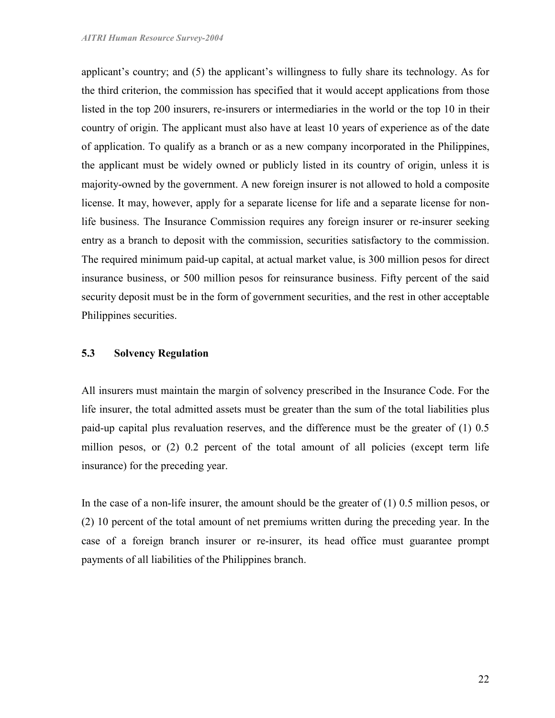applicant's country; and (5) the applicant's willingness to fully share its technology. As for the third criterion, the commission has specified that it would accept applications from those listed in the top 200 insurers, re-insurers or intermediaries in the world or the top 10 in their country of origin. The applicant must also have at least 10 years of experience as of the date of application. To qualify as a branch or as a new company incorporated in the Philippines, the applicant must be widely owned or publicly listed in its country of origin, unless it is majority-owned by the government. A new foreign insurer is not allowed to hold a composite license. It may, however, apply for a separate license for life and a separate license for nonlife business. The Insurance Commission requires any foreign insurer or re-insurer seeking entry as a branch to deposit with the commission, securities satisfactory to the commission. The required minimum paid-up capital, at actual market value, is 300 million pesos for direct insurance business, or 500 million pesos for reinsurance business. Fifty percent of the said security deposit must be in the form of government securities, and the rest in other acceptable Philippines securities.

#### 5.3 Solvency Regulation

All insurers must maintain the margin of solvency prescribed in the Insurance Code. For the life insurer, the total admitted assets must be greater than the sum of the total liabilities plus paid-up capital plus revaluation reserves, and the difference must be the greater of (1) 0.5 million pesos, or (2) 0.2 percent of the total amount of all policies (except term life insurance) for the preceding year.

In the case of a non-life insurer, the amount should be the greater of (1) 0.5 million pesos, or (2) 10 percent of the total amount of net premiums written during the preceding year. In the case of a foreign branch insurer or re-insurer, its head office must guarantee prompt payments of all liabilities of the Philippines branch.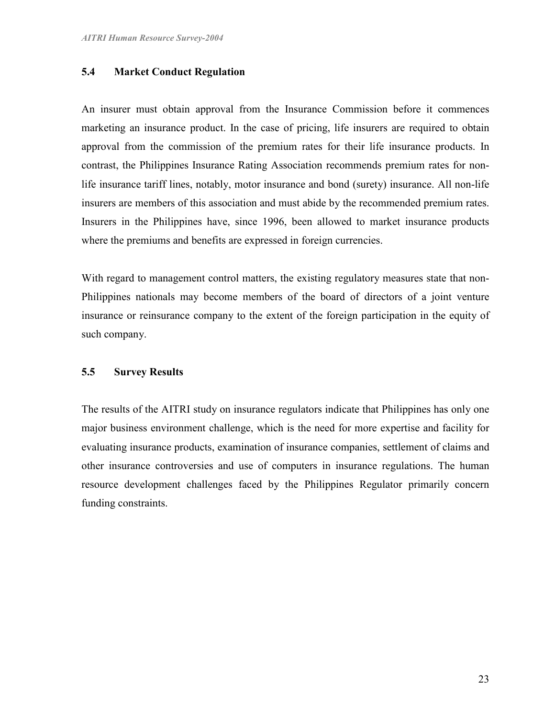### 5.4 Market Conduct Regulation

An insurer must obtain approval from the Insurance Commission before it commences marketing an insurance product. In the case of pricing, life insurers are required to obtain approval from the commission of the premium rates for their life insurance products. In contrast, the Philippines Insurance Rating Association recommends premium rates for nonlife insurance tariff lines, notably, motor insurance and bond (surety) insurance. All non-life insurers are members of this association and must abide by the recommended premium rates. Insurers in the Philippines have, since 1996, been allowed to market insurance products where the premiums and benefits are expressed in foreign currencies.

With regard to management control matters, the existing regulatory measures state that non-Philippines nationals may become members of the board of directors of a joint venture insurance or reinsurance company to the extent of the foreign participation in the equity of such company.

#### 5.5 Survey Results

The results of the AITRI study on insurance regulators indicate that Philippines has only one major business environment challenge, which is the need for more expertise and facility for evaluating insurance products, examination of insurance companies, settlement of claims and other insurance controversies and use of computers in insurance regulations. The human resource development challenges faced by the Philippines Regulator primarily concern funding constraints.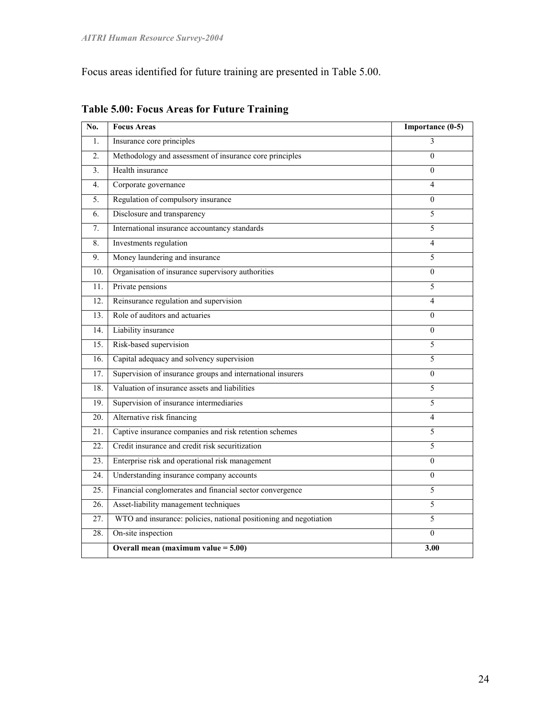Focus areas identified for future training are presented in Table 5.00.

| No.               | <b>Focus Areas</b>                                                | Importance (0-5) |
|-------------------|-------------------------------------------------------------------|------------------|
| 1.                | Insurance core principles                                         | 3                |
| $\overline{2}$ .  | Methodology and assessment of insurance core principles           | $\theta$         |
| 3.                | Health insurance                                                  | $\mathbf{0}$     |
| 4.                | Corporate governance                                              | 4                |
| 5.                | Regulation of compulsory insurance                                | $\boldsymbol{0}$ |
| 6.                | Disclosure and transparency                                       | 5                |
| 7.                | International insurance accountancy standards                     | 5                |
| 8.                | Investments regulation                                            | 4                |
| 9.                | Money laundering and insurance                                    | 5                |
| 10.               | Organisation of insurance supervisory authorities                 | $\theta$         |
| 11.               | Private pensions                                                  | 5                |
| 12.               | Reinsurance regulation and supervision                            | 4                |
| 13.               | Role of auditors and actuaries                                    | $\boldsymbol{0}$ |
| 14.               | Liability insurance                                               | $\boldsymbol{0}$ |
| 15.               | Risk-based supervision                                            | 5                |
| 16.               | Capital adequacy and solvency supervision                         | 5                |
| 17.               | Supervision of insurance groups and international insurers        | 0                |
| 18.               | Valuation of insurance assets and liabilities                     | 5                |
| 19.               | Supervision of insurance intermediaries                           | 5                |
| 20.               | Alternative risk financing                                        | 4                |
| 21.               | Captive insurance companies and risk retention schemes            | 5                |
| 22.               | Credit insurance and credit risk securitization                   | 5                |
| 23.               | Enterprise risk and operational risk management                   | $\boldsymbol{0}$ |
| 24.               | Understanding insurance company accounts                          | $\boldsymbol{0}$ |
| $\overline{25}$ . | Financial conglomerates and financial sector convergence          | 5                |
| 26.               | Asset-liability management techniques                             | 5                |
| 27.               | WTO and insurance: policies, national positioning and negotiation | 5                |
| 28.               | On-site inspection                                                | $\Omega$         |
|                   | Overall mean (maximum value $= 5.00$ )                            | 3.00             |

## Table 5.00: Focus Areas for Future Training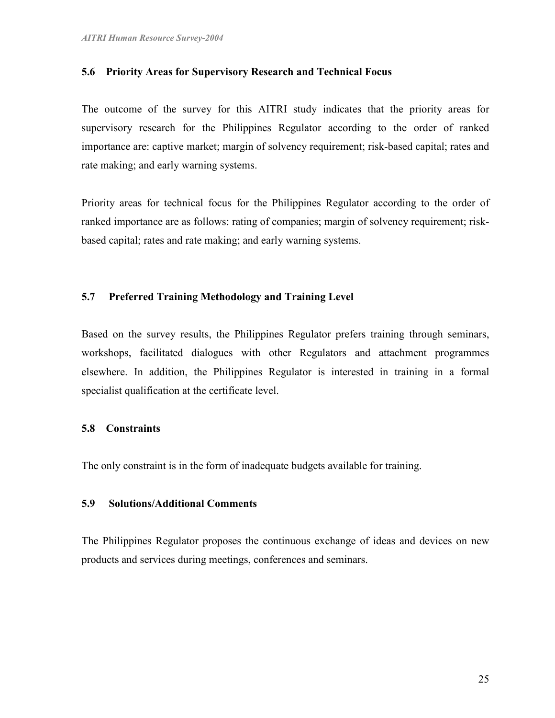#### 5.6 Priority Areas for Supervisory Research and Technical Focus

The outcome of the survey for this AITRI study indicates that the priority areas for supervisory research for the Philippines Regulator according to the order of ranked importance are: captive market; margin of solvency requirement; risk-based capital; rates and rate making; and early warning systems.

Priority areas for technical focus for the Philippines Regulator according to the order of ranked importance are as follows: rating of companies; margin of solvency requirement; riskbased capital; rates and rate making; and early warning systems.

## 5.7 Preferred Training Methodology and Training Level

Based on the survey results, the Philippines Regulator prefers training through seminars, workshops, facilitated dialogues with other Regulators and attachment programmes elsewhere. In addition, the Philippines Regulator is interested in training in a formal specialist qualification at the certificate level.

#### 5.8 Constraints

The only constraint is in the form of inadequate budgets available for training.

## 5.9 Solutions/Additional Comments

The Philippines Regulator proposes the continuous exchange of ideas and devices on new products and services during meetings, conferences and seminars.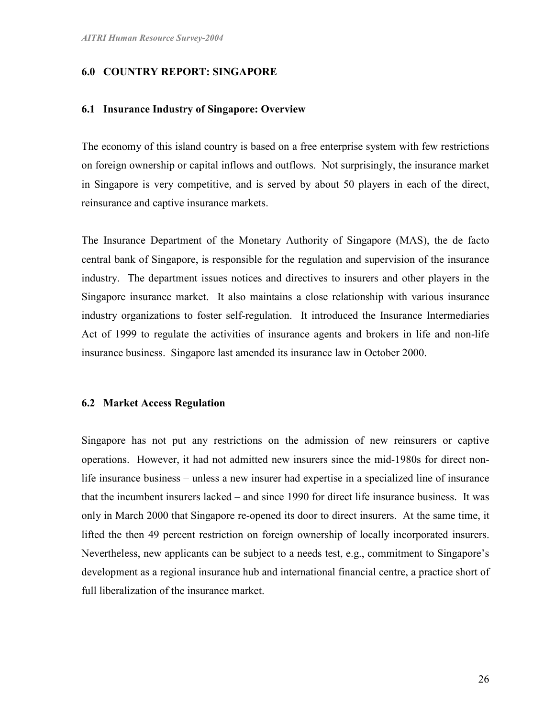#### 6.0 COUNTRY REPORT: SINGAPORE

#### 6.1 Insurance Industry of Singapore: Overview

The economy of this island country is based on a free enterprise system with few restrictions on foreign ownership or capital inflows and outflows. Not surprisingly, the insurance market in Singapore is very competitive, and is served by about 50 players in each of the direct, reinsurance and captive insurance markets.

The Insurance Department of the Monetary Authority of Singapore (MAS), the de facto central bank of Singapore, is responsible for the regulation and supervision of the insurance industry. The department issues notices and directives to insurers and other players in the Singapore insurance market. It also maintains a close relationship with various insurance industry organizations to foster self-regulation. It introduced the Insurance Intermediaries Act of 1999 to regulate the activities of insurance agents and brokers in life and non-life insurance business. Singapore last amended its insurance law in October 2000.

#### 6.2 Market Access Regulation

Singapore has not put any restrictions on the admission of new reinsurers or captive operations. However, it had not admitted new insurers since the mid-1980s for direct nonlife insurance business – unless a new insurer had expertise in a specialized line of insurance that the incumbent insurers lacked – and since 1990 for direct life insurance business. It was only in March 2000 that Singapore re-opened its door to direct insurers. At the same time, it lifted the then 49 percent restriction on foreign ownership of locally incorporated insurers. Nevertheless, new applicants can be subject to a needs test, e.g., commitment to Singapore's development as a regional insurance hub and international financial centre, a practice short of full liberalization of the insurance market.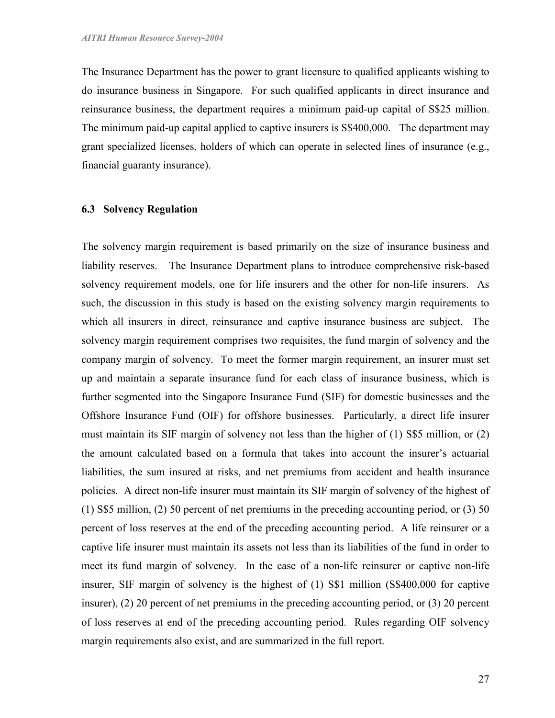The Insurance Department has the power to grant licensure to qualified applicants wishing to do insurance business in Singapore. For such qualified applicants in direct insurance and reinsurance business, the department requires a minimum paid-up capital of S\$25 million. The minimum paid-up capital applied to captive insurers is S\$400,000. The department may grant specialized licenses, holders of which can operate in selected lines of insurance (e.g., financial guaranty insurance).

### 6.3 Solvency Regulation

The solvency margin requirement is based primarily on the size of insurance business and liability reserves. The Insurance Department plans to introduce comprehensive risk-based solvency requirement models, one for life insurers and the other for non-life insurers. As such, the discussion in this study is based on the existing solvency margin requirements to which all insurers in direct, reinsurance and captive insurance business are subject. The solvency margin requirement comprises two requisites, the fund margin of solvency and the company margin of solvency. To meet the former margin requirement, an insurer must set up and maintain a separate insurance fund for each class of insurance business, which is further segmented into the Singapore Insurance Fund (SIF) for domestic businesses and the Offshore Insurance Fund (OIF) for offshore businesses. Particularly, a direct life insurer must maintain its SIF margin of solvency not less than the higher of (1) S\$5 million, or (2) the amount calculated based on a formula that takes into account the insurer's actuarial liabilities, the sum insured at risks, and net premiums from accident and health insurance policies. A direct non-life insurer must maintain its SIF margin of solvency of the highest of (1) S\$5 million, (2) 50 percent of net premiums in the preceding accounting period, or (3) 50 percent of loss reserves at the end of the preceding accounting period. A life reinsurer or a captive life insurer must maintain its assets not less than its liabilities of the fund in order to meet its fund margin of solvency. In the case of a non-life reinsurer or captive non-life insurer, SIF margin of solvency is the highest of (1) S\$1 million (S\$400,000 for captive insurer), (2) 20 percent of net premiums in the preceding accounting period, or (3) 20 percent of loss reserves at end of the preceding accounting period. Rules regarding OIF solvency margin requirements also exist, and are summarized in the full report.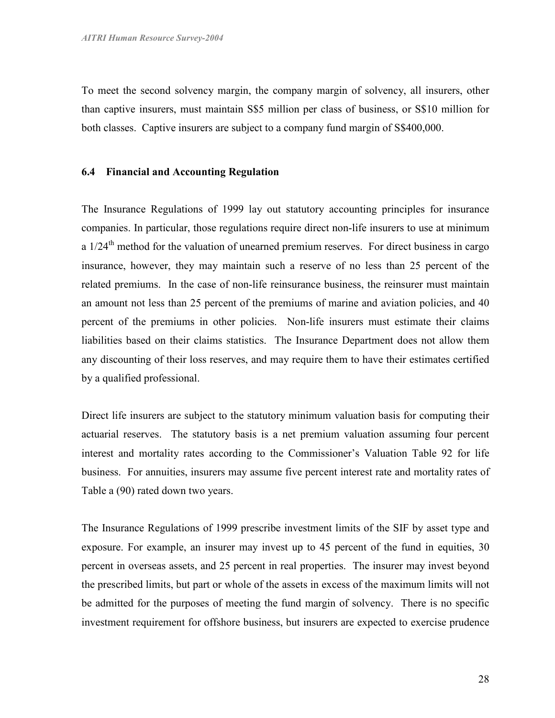To meet the second solvency margin, the company margin of solvency, all insurers, other than captive insurers, must maintain S\$5 million per class of business, or S\$10 million for both classes. Captive insurers are subject to a company fund margin of S\$400,000.

#### 6.4 Financial and Accounting Regulation

The Insurance Regulations of 1999 lay out statutory accounting principles for insurance companies. In particular, those regulations require direct non-life insurers to use at minimum a  $1/24$ <sup>th</sup> method for the valuation of unearned premium reserves. For direct business in cargo insurance, however, they may maintain such a reserve of no less than 25 percent of the related premiums. In the case of non-life reinsurance business, the reinsurer must maintain an amount not less than 25 percent of the premiums of marine and aviation policies, and 40 percent of the premiums in other policies. Non-life insurers must estimate their claims liabilities based on their claims statistics. The Insurance Department does not allow them any discounting of their loss reserves, and may require them to have their estimates certified by a qualified professional.

Direct life insurers are subject to the statutory minimum valuation basis for computing their actuarial reserves. The statutory basis is a net premium valuation assuming four percent interest and mortality rates according to the Commissioner's Valuation Table 92 for life business. For annuities, insurers may assume five percent interest rate and mortality rates of Table a (90) rated down two years.

The Insurance Regulations of 1999 prescribe investment limits of the SIF by asset type and exposure. For example, an insurer may invest up to 45 percent of the fund in equities, 30 percent in overseas assets, and 25 percent in real properties. The insurer may invest beyond the prescribed limits, but part or whole of the assets in excess of the maximum limits will not be admitted for the purposes of meeting the fund margin of solvency. There is no specific investment requirement for offshore business, but insurers are expected to exercise prudence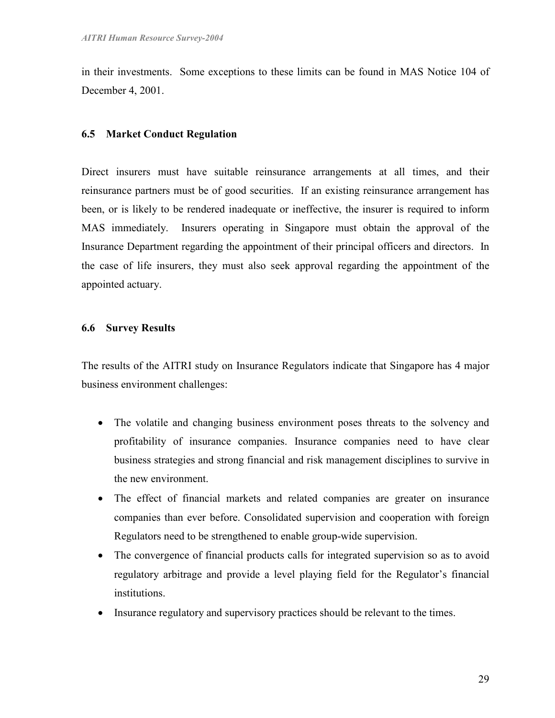in their investments. Some exceptions to these limits can be found in MAS Notice 104 of December 4, 2001.

## 6.5 Market Conduct Regulation

Direct insurers must have suitable reinsurance arrangements at all times, and their reinsurance partners must be of good securities. If an existing reinsurance arrangement has been, or is likely to be rendered inadequate or ineffective, the insurer is required to inform MAS immediately. Insurers operating in Singapore must obtain the approval of the Insurance Department regarding the appointment of their principal officers and directors. In the case of life insurers, they must also seek approval regarding the appointment of the appointed actuary.

## 6.6 Survey Results

The results of the AITRI study on Insurance Regulators indicate that Singapore has 4 major business environment challenges:

- The volatile and changing business environment poses threats to the solvency and profitability of insurance companies. Insurance companies need to have clear business strategies and strong financial and risk management disciplines to survive in the new environment.
- The effect of financial markets and related companies are greater on insurance companies than ever before. Consolidated supervision and cooperation with foreign Regulators need to be strengthened to enable group-wide supervision.
- The convergence of financial products calls for integrated supervision so as to avoid regulatory arbitrage and provide a level playing field for the Regulator's financial institutions.
- Insurance regulatory and supervisory practices should be relevant to the times.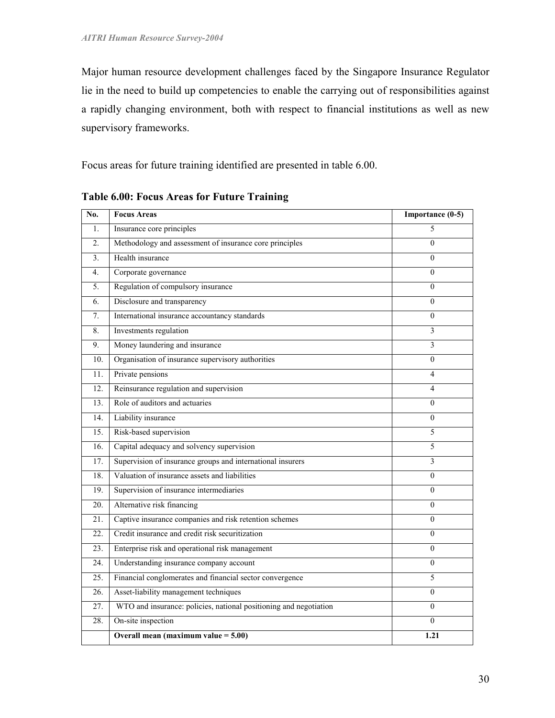Major human resource development challenges faced by the Singapore Insurance Regulator lie in the need to build up competencies to enable the carrying out of responsibilities against a rapidly changing environment, both with respect to financial institutions as well as new supervisory frameworks.

Focus areas for future training identified are presented in table 6.00.

| No.              | <b>Focus Areas</b>                                                | Importance $(0-5)$ |
|------------------|-------------------------------------------------------------------|--------------------|
| $\mathbf{1}$ .   | Insurance core principles                                         | 5                  |
| $\overline{2}$ . | Methodology and assessment of insurance core principles           | $\theta$           |
| 3.               | Health insurance                                                  | $\theta$           |
| 4.               | Corporate governance                                              | $\theta$           |
| 5 <sub>1</sub>   | Regulation of compulsory insurance                                | $\Omega$           |
| 6.               | Disclosure and transparency                                       | $\Omega$           |
| 7.               | International insurance accountancy standards                     | $\theta$           |
| 8.               | Investments regulation                                            | 3                  |
| 9.               | Money laundering and insurance                                    | 3                  |
| 10.              | Organisation of insurance supervisory authorities                 | $\Omega$           |
| 11.              | Private pensions                                                  | 4                  |
| 12.              | Reinsurance regulation and supervision                            | 4                  |
| 13.              | Role of auditors and actuaries                                    | $\Omega$           |
| 14.              | Liability insurance                                               | $\theta$           |
| 15.              | Risk-based supervision                                            | 5                  |
| 16.              | Capital adequacy and solvency supervision                         | 5                  |
| 17.              | Supervision of insurance groups and international insurers        | 3                  |
| 18.              | Valuation of insurance assets and liabilities                     | $\theta$           |
| 19.              | Supervision of insurance intermediaries                           | $\Omega$           |
| 20.              | Alternative risk financing                                        | $\overline{0}$     |
| 21.              | Captive insurance companies and risk retention schemes            | $\theta$           |
| 22.              | Credit insurance and credit risk securitization                   | $\theta$           |
| 23.              | Enterprise risk and operational risk management                   | $\Omega$           |
| 24.              | Understanding insurance company account                           | $\overline{0}$     |
| 25.              | Financial conglomerates and financial sector convergence          | 5                  |
| 26.              | Asset-liability management techniques                             | $\Omega$           |
| 27.              | WTO and insurance: policies, national positioning and negotiation | $\Omega$           |
| 28.              | On-site inspection                                                | $\overline{0}$     |
|                  | Overall mean (maximum value $= 5.00$ )                            | 1.21               |

Table 6.00: Focus Areas for Future Training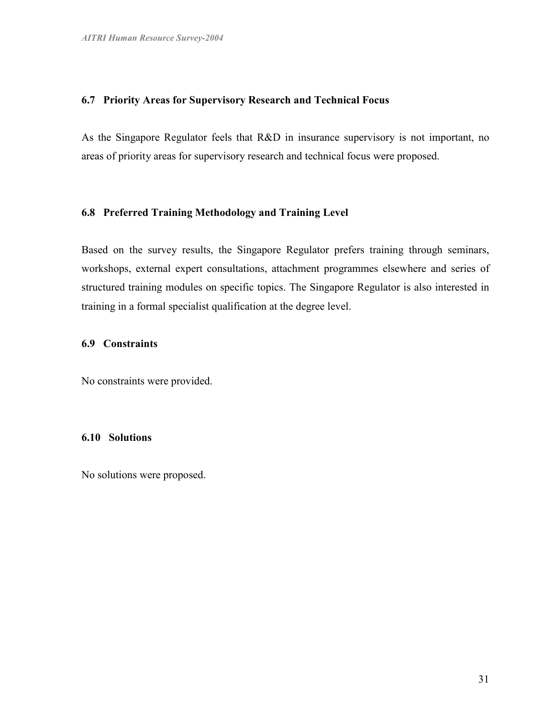#### 6.7 Priority Areas for Supervisory Research and Technical Focus

As the Singapore Regulator feels that R&D in insurance supervisory is not important, no areas of priority areas for supervisory research and technical focus were proposed.

#### 6.8 Preferred Training Methodology and Training Level

Based on the survey results, the Singapore Regulator prefers training through seminars, workshops, external expert consultations, attachment programmes elsewhere and series of structured training modules on specific topics. The Singapore Regulator is also interested in training in a formal specialist qualification at the degree level.

### 6.9 Constraints

No constraints were provided.

#### 6.10 Solutions

No solutions were proposed.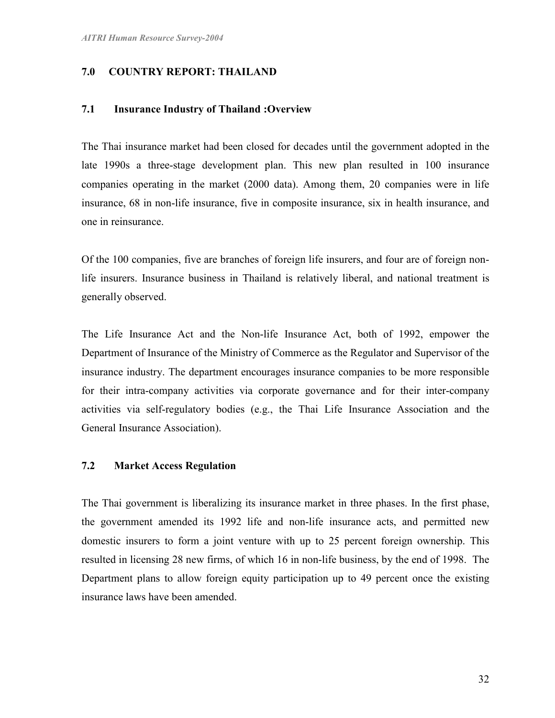## 7.0 COUNTRY REPORT: THAILAND

#### 7.1 Insurance Industry of Thailand :Overview

The Thai insurance market had been closed for decades until the government adopted in the late 1990s a three-stage development plan. This new plan resulted in 100 insurance companies operating in the market (2000 data). Among them, 20 companies were in life insurance, 68 in non-life insurance, five in composite insurance, six in health insurance, and one in reinsurance.

Of the 100 companies, five are branches of foreign life insurers, and four are of foreign nonlife insurers. Insurance business in Thailand is relatively liberal, and national treatment is generally observed.

The Life Insurance Act and the Non-life Insurance Act, both of 1992, empower the Department of Insurance of the Ministry of Commerce as the Regulator and Supervisor of the insurance industry. The department encourages insurance companies to be more responsible for their intra-company activities via corporate governance and for their inter-company activities via self-regulatory bodies (e.g., the Thai Life Insurance Association and the General Insurance Association).

## 7.2 Market Access Regulation

The Thai government is liberalizing its insurance market in three phases. In the first phase, the government amended its 1992 life and non-life insurance acts, and permitted new domestic insurers to form a joint venture with up to 25 percent foreign ownership. This resulted in licensing 28 new firms, of which 16 in non-life business, by the end of 1998. The Department plans to allow foreign equity participation up to 49 percent once the existing insurance laws have been amended.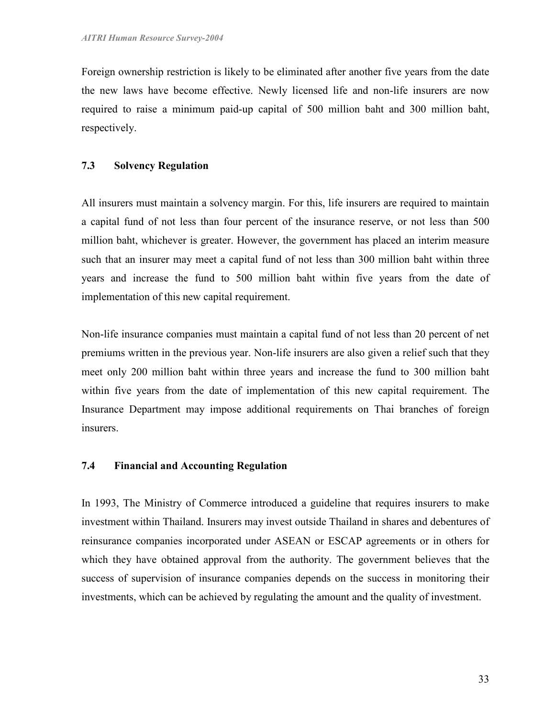Foreign ownership restriction is likely to be eliminated after another five years from the date the new laws have become effective. Newly licensed life and non-life insurers are now required to raise a minimum paid-up capital of 500 million baht and 300 million baht, respectively.

## 7.3 Solvency Regulation

All insurers must maintain a solvency margin. For this, life insurers are required to maintain a capital fund of not less than four percent of the insurance reserve, or not less than 500 million baht, whichever is greater. However, the government has placed an interim measure such that an insurer may meet a capital fund of not less than 300 million baht within three years and increase the fund to 500 million baht within five years from the date of implementation of this new capital requirement.

Non-life insurance companies must maintain a capital fund of not less than 20 percent of net premiums written in the previous year. Non-life insurers are also given a relief such that they meet only 200 million baht within three years and increase the fund to 300 million baht within five years from the date of implementation of this new capital requirement. The Insurance Department may impose additional requirements on Thai branches of foreign insurers.

## 7.4 Financial and Accounting Regulation

In 1993, The Ministry of Commerce introduced a guideline that requires insurers to make investment within Thailand. Insurers may invest outside Thailand in shares and debentures of reinsurance companies incorporated under ASEAN or ESCAP agreements or in others for which they have obtained approval from the authority. The government believes that the success of supervision of insurance companies depends on the success in monitoring their investments, which can be achieved by regulating the amount and the quality of investment.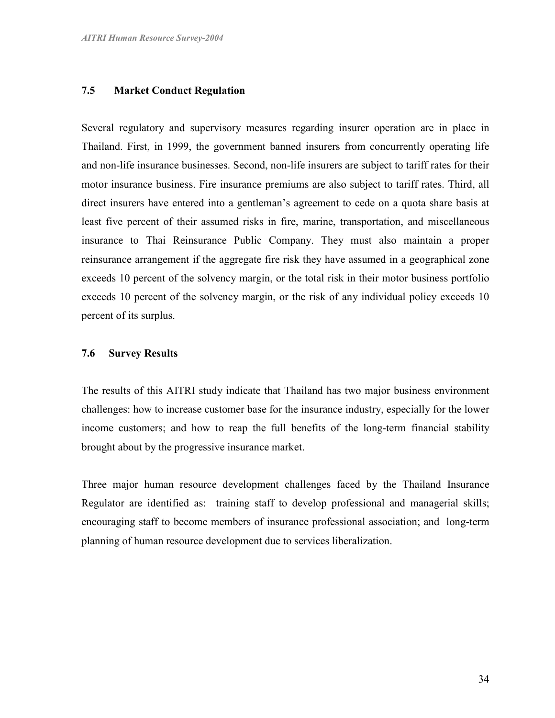#### 7.5 Market Conduct Regulation

Several regulatory and supervisory measures regarding insurer operation are in place in Thailand. First, in 1999, the government banned insurers from concurrently operating life and non-life insurance businesses. Second, non-life insurers are subject to tariff rates for their motor insurance business. Fire insurance premiums are also subject to tariff rates. Third, all direct insurers have entered into a gentleman's agreement to cede on a quota share basis at least five percent of their assumed risks in fire, marine, transportation, and miscellaneous insurance to Thai Reinsurance Public Company. They must also maintain a proper reinsurance arrangement if the aggregate fire risk they have assumed in a geographical zone exceeds 10 percent of the solvency margin, or the total risk in their motor business portfolio exceeds 10 percent of the solvency margin, or the risk of any individual policy exceeds 10 percent of its surplus.

#### 7.6 Survey Results

The results of this AITRI study indicate that Thailand has two major business environment challenges: how to increase customer base for the insurance industry, especially for the lower income customers; and how to reap the full benefits of the long-term financial stability brought about by the progressive insurance market.

Three major human resource development challenges faced by the Thailand Insurance Regulator are identified as: training staff to develop professional and managerial skills; encouraging staff to become members of insurance professional association; and long-term planning of human resource development due to services liberalization.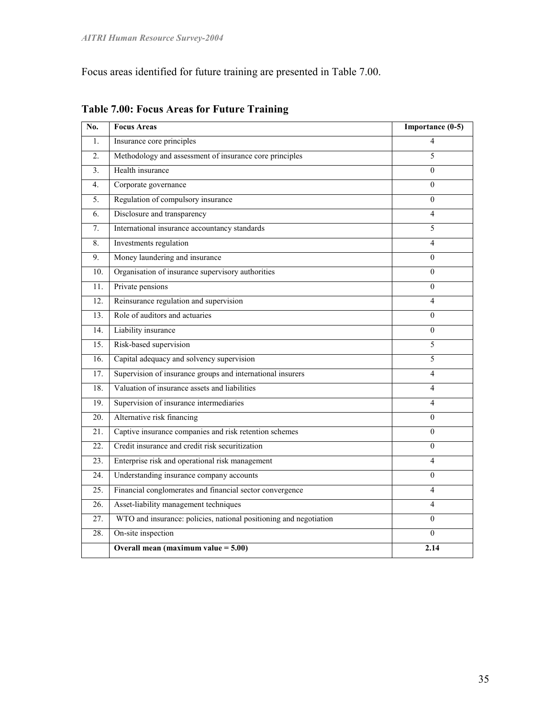Focus areas identified for future training are presented in Table 7.00.

| No.               | <b>Focus Areas</b>                                                | Importance (0-5) |
|-------------------|-------------------------------------------------------------------|------------------|
| $\mathbf{1}$ .    | Insurance core principles                                         | 4                |
| $\overline{2}$ .  | Methodology and assessment of insurance core principles           | 5                |
| 3 <sub>1</sub>    | Health insurance                                                  | $\mathbf{0}$     |
| 4.                | Corporate governance                                              | $\Omega$         |
| 5.                | Regulation of compulsory insurance                                | $\boldsymbol{0}$ |
| 6.                | Disclosure and transparency                                       | 4                |
| 7.                | International insurance accountancy standards                     | 5                |
| 8.                | Investments regulation                                            | $\overline{4}$   |
| 9.                | Money laundering and insurance                                    | $\theta$         |
| 10 <sub>1</sub>   | Organisation of insurance supervisory authorities                 | $\theta$         |
| 11.               | Private pensions                                                  | $\theta$         |
| 12.               | Reinsurance regulation and supervision                            | 4                |
| 13.               | Role of auditors and actuaries                                    | $\boldsymbol{0}$ |
| 14.               | Liability insurance                                               | $\boldsymbol{0}$ |
| 15.               | Risk-based supervision                                            | 5                |
| $\overline{16}$ . | Capital adequacy and solvency supervision                         | 5                |
| 17.               | Supervision of insurance groups and international insurers        | $\overline{4}$   |
| 18.               | Valuation of insurance assets and liabilities                     | $\overline{4}$   |
| 19.               | Supervision of insurance intermediaries                           | $\overline{4}$   |
| 20.               | Alternative risk financing                                        | $\mathbf{0}$     |
| 21.               | Captive insurance companies and risk retention schemes            | $\boldsymbol{0}$ |
| 22.               | Credit insurance and credit risk securitization                   | $\mathbf{0}$     |
| 23.               | Enterprise risk and operational risk management                   | 4                |
| 24.               | Understanding insurance company accounts                          | $\boldsymbol{0}$ |
| $\overline{25}$ . | Financial conglomerates and financial sector convergence          | 4                |
| 26.               | Asset-liability management techniques                             | $\overline{4}$   |
| 27.               | WTO and insurance: policies, national positioning and negotiation | $\boldsymbol{0}$ |
| 28.               | On-site inspection                                                | $\Omega$         |
|                   | Overall mean (maximum value $= 5.00$ )                            | 2.14             |

Table 7.00: Focus Areas for Future Training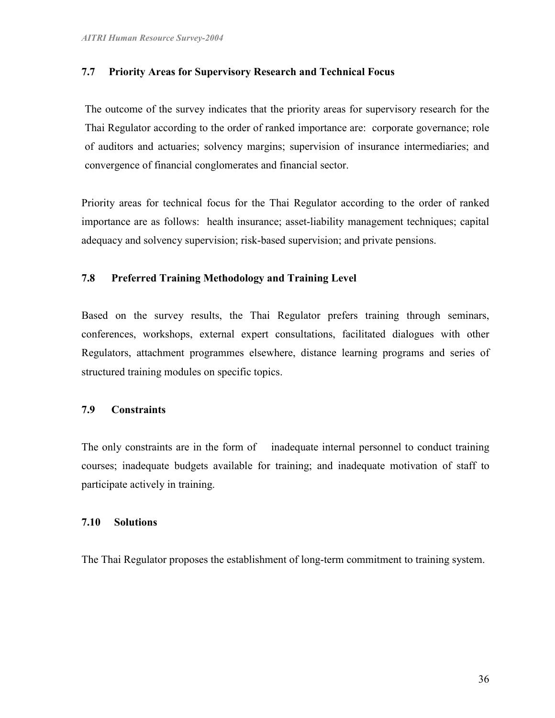## 7.7 Priority Areas for Supervisory Research and Technical Focus

The outcome of the survey indicates that the priority areas for supervisory research for the Thai Regulator according to the order of ranked importance are: corporate governance; role of auditors and actuaries; solvency margins; supervision of insurance intermediaries; and convergence of financial conglomerates and financial sector.

Priority areas for technical focus for the Thai Regulator according to the order of ranked importance are as follows: health insurance; asset-liability management techniques; capital adequacy and solvency supervision; risk-based supervision; and private pensions.

#### 7.8 Preferred Training Methodology and Training Level

Based on the survey results, the Thai Regulator prefers training through seminars, conferences, workshops, external expert consultations, facilitated dialogues with other Regulators, attachment programmes elsewhere, distance learning programs and series of structured training modules on specific topics.

#### 7.9 Constraints

The only constraints are in the form of inadequate internal personnel to conduct training courses; inadequate budgets available for training; and inadequate motivation of staff to participate actively in training.

#### 7.10 Solutions

The Thai Regulator proposes the establishment of long-term commitment to training system.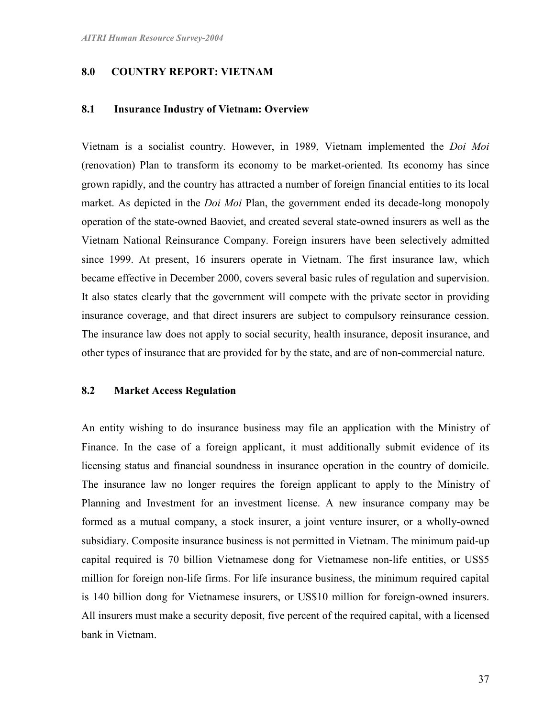### 8.0 COUNTRY REPORT: VIETNAM

#### 8.1 Insurance Industry of Vietnam: Overview

Vietnam is a socialist country. However, in 1989, Vietnam implemented the Doi Moi (renovation) Plan to transform its economy to be market-oriented. Its economy has since grown rapidly, and the country has attracted a number of foreign financial entities to its local market. As depicted in the *Doi Moi* Plan, the government ended its decade-long monopoly operation of the state-owned Baoviet, and created several state-owned insurers as well as the Vietnam National Reinsurance Company. Foreign insurers have been selectively admitted since 1999. At present, 16 insurers operate in Vietnam. The first insurance law, which became effective in December 2000, covers several basic rules of regulation and supervision. It also states clearly that the government will compete with the private sector in providing insurance coverage, and that direct insurers are subject to compulsory reinsurance cession. The insurance law does not apply to social security, health insurance, deposit insurance, and other types of insurance that are provided for by the state, and are of non-commercial nature.

## 8.2 Market Access Regulation

An entity wishing to do insurance business may file an application with the Ministry of Finance. In the case of a foreign applicant, it must additionally submit evidence of its licensing status and financial soundness in insurance operation in the country of domicile. The insurance law no longer requires the foreign applicant to apply to the Ministry of Planning and Investment for an investment license. A new insurance company may be formed as a mutual company, a stock insurer, a joint venture insurer, or a wholly-owned subsidiary. Composite insurance business is not permitted in Vietnam. The minimum paid-up capital required is 70 billion Vietnamese dong for Vietnamese non-life entities, or US\$5 million for foreign non-life firms. For life insurance business, the minimum required capital is 140 billion dong for Vietnamese insurers, or US\$10 million for foreign-owned insurers. All insurers must make a security deposit, five percent of the required capital, with a licensed bank in Vietnam.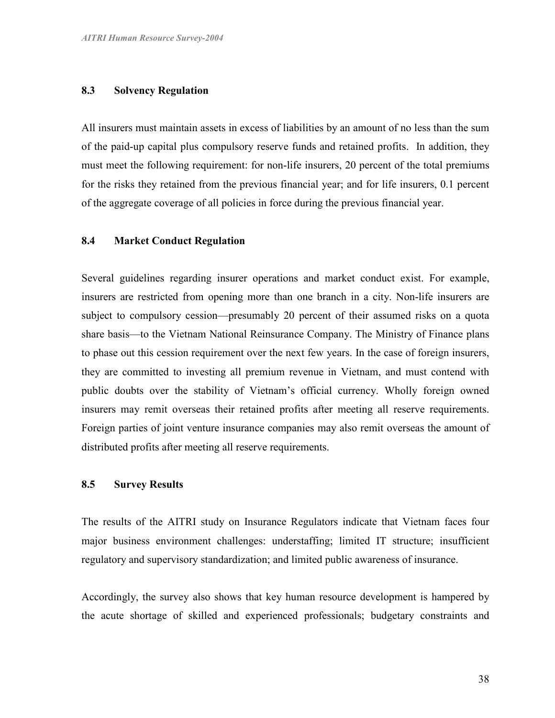#### 8.3 Solvency Regulation

All insurers must maintain assets in excess of liabilities by an amount of no less than the sum of the paid-up capital plus compulsory reserve funds and retained profits. In addition, they must meet the following requirement: for non-life insurers, 20 percent of the total premiums for the risks they retained from the previous financial year; and for life insurers, 0.1 percent of the aggregate coverage of all policies in force during the previous financial year.

#### 8.4 Market Conduct Regulation

Several guidelines regarding insurer operations and market conduct exist. For example, insurers are restricted from opening more than one branch in a city. Non-life insurers are subject to compulsory cession—presumably 20 percent of their assumed risks on a quota share basis—to the Vietnam National Reinsurance Company. The Ministry of Finance plans to phase out this cession requirement over the next few years. In the case of foreign insurers, they are committed to investing all premium revenue in Vietnam, and must contend with public doubts over the stability of Vietnam's official currency. Wholly foreign owned insurers may remit overseas their retained profits after meeting all reserve requirements. Foreign parties of joint venture insurance companies may also remit overseas the amount of distributed profits after meeting all reserve requirements.

#### 8.5 Survey Results

The results of the AITRI study on Insurance Regulators indicate that Vietnam faces four major business environment challenges: understaffing; limited IT structure; insufficient regulatory and supervisory standardization; and limited public awareness of insurance.

Accordingly, the survey also shows that key human resource development is hampered by the acute shortage of skilled and experienced professionals; budgetary constraints and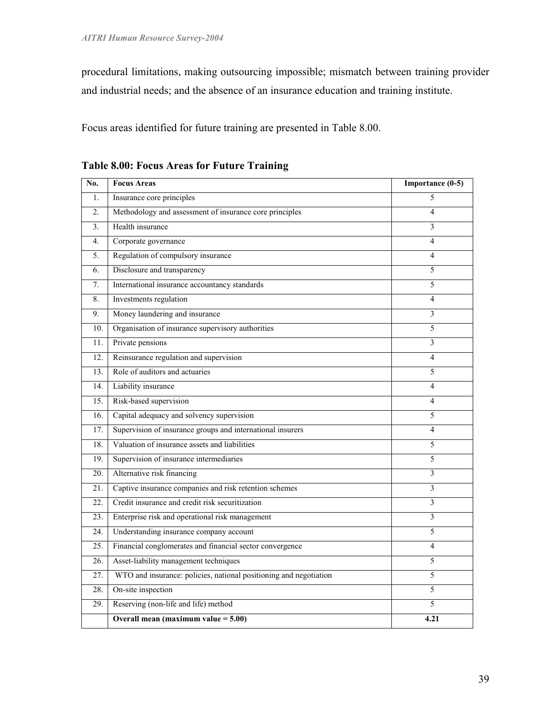procedural limitations, making outsourcing impossible; mismatch between training provider and industrial needs; and the absence of an insurance education and training institute.

Focus areas identified for future training are presented in Table 8.00.

| No.            | <b>Focus Areas</b>                                                | Importance (0-5) |
|----------------|-------------------------------------------------------------------|------------------|
| 1.             | Insurance core principles                                         | 5                |
| 2.             | Methodology and assessment of insurance core principles           | 4                |
| 3 <sub>1</sub> | Health insurance                                                  | 3                |
| 4.             | Corporate governance                                              | 4                |
| 5.             | Regulation of compulsory insurance                                | 4                |
| 6.             | Disclosure and transparency                                       | 5                |
| 7.             | International insurance accountancy standards                     | 5                |
| 8.             | Investments regulation                                            | 4                |
| 9.             | Money laundering and insurance                                    | 3                |
| 10.            | Organisation of insurance supervisory authorities                 | 5                |
| 11.            | Private pensions                                                  | 3                |
| 12.            | Reinsurance regulation and supervision                            | 4                |
| 13.            | Role of auditors and actuaries                                    | 5                |
| 14.            | Liability insurance                                               | 4                |
| 15.            | Risk-based supervision                                            | 4                |
| 16.            | Capital adequacy and solvency supervision                         | 5                |
| 17.            | Supervision of insurance groups and international insurers        | 4                |
| 18.            | Valuation of insurance assets and liabilities                     | 5                |
| 19.            | Supervision of insurance intermediaries                           | 5                |
| 20.            | Alternative risk financing                                        | 3                |
| 21.            | Captive insurance companies and risk retention schemes            | 3                |
| 22.            | Credit insurance and credit risk securitization                   | 3                |
| 23.            | Enterprise risk and operational risk management                   | 3                |
| 24.            | Understanding insurance company account                           | 5                |
| 25.            | Financial conglomerates and financial sector convergence          | 4                |
| 26.            | Asset-liability management techniques                             | 5                |
| 27.            | WTO and insurance: policies, national positioning and negotiation | 5                |
| 28.            | On-site inspection                                                | 5                |
| 29.            | Reserving (non-life and life) method                              | 5                |
|                | Overall mean (maximum value $= 5.00$ )                            | 4.21             |

Table 8.00: Focus Areas for Future Training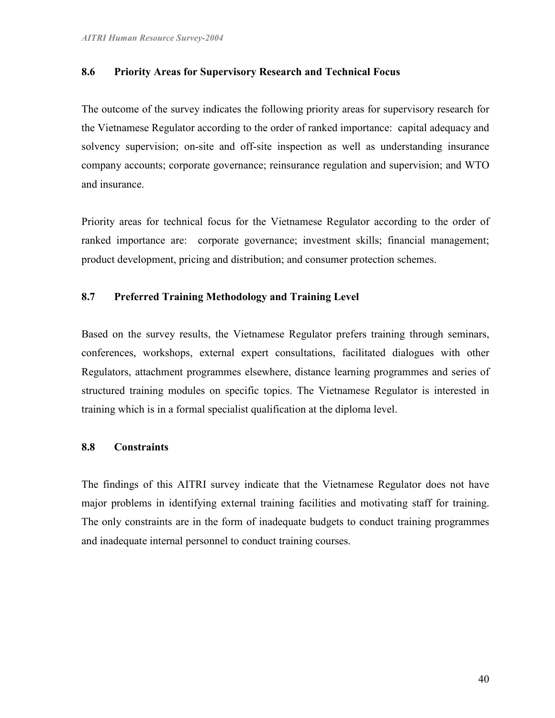### 8.6 Priority Areas for Supervisory Research and Technical Focus

The outcome of the survey indicates the following priority areas for supervisory research for the Vietnamese Regulator according to the order of ranked importance: capital adequacy and solvency supervision; on-site and off-site inspection as well as understanding insurance company accounts; corporate governance; reinsurance regulation and supervision; and WTO and insurance.

Priority areas for technical focus for the Vietnamese Regulator according to the order of ranked importance are: corporate governance; investment skills; financial management; product development, pricing and distribution; and consumer protection schemes.

## 8.7 Preferred Training Methodology and Training Level

Based on the survey results, the Vietnamese Regulator prefers training through seminars, conferences, workshops, external expert consultations, facilitated dialogues with other Regulators, attachment programmes elsewhere, distance learning programmes and series of structured training modules on specific topics. The Vietnamese Regulator is interested in training which is in a formal specialist qualification at the diploma level.

#### 8.8 Constraints

The findings of this AITRI survey indicate that the Vietnamese Regulator does not have major problems in identifying external training facilities and motivating staff for training. The only constraints are in the form of inadequate budgets to conduct training programmes and inadequate internal personnel to conduct training courses.